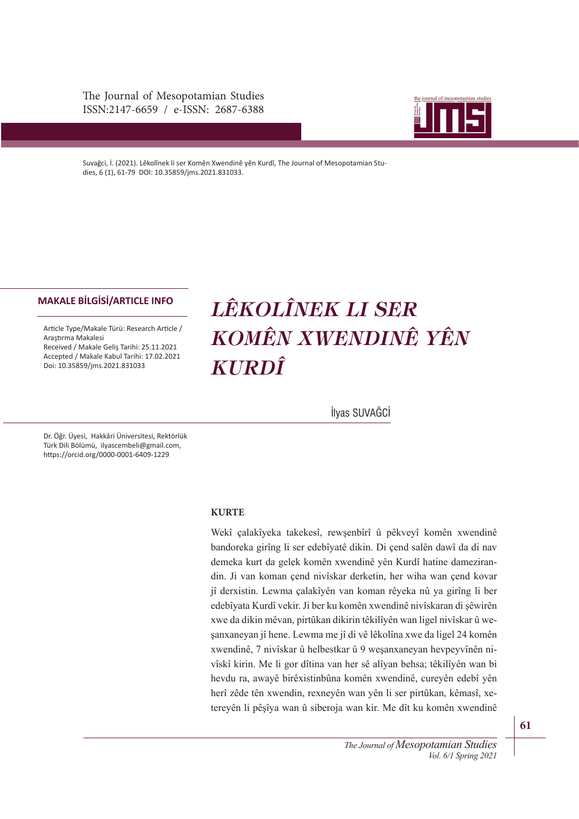The Journal of Mesopotamian Studies ISSN:2147-6659 / e-ISSN: 2687-6388



Suvağci, İ. (2021). Lêkolînek li ser Komên Xwendinê yên Kurdî, The Journal of Mesopotamian Studies, 6 (1), 61-79 DOI: 10.35859/jms.2021.831033.

#### **MAKALE BİLGİSİ/ARTICLE INFO**

Article Type/Makale Türü: Research Article / Araştrma Makalesi Received / Makale Geliş Tarihi: 25.11.2021 Accepted / Makale Kabul Tarihi: 17.02.2021 Doi: 10.35859/jms.2021.831033

# *LÊKOLÎNEK LI SER KOMÊN XWENDINÊ YÊN KURDÎ*

İlyas SUVAĞCİ

Dr. Öğr. Üyesi, Hakkâri Üniversitesi, Rektörlük Türk Dili Bölümü, ilyascembeli@gmail.com, htps://orcid.org/0000-0001-6409-1229

#### **KURTE**

Wekî çalakîyeka takekesî, rewşenbîrî û pêkveyî komên xwendinê bandoreka girîng li ser edebîyatê dikin. Di çend salên dawî da di nav demeka kurt da gelek komên xwendinê yên Kurdî hatine damezirandin. Ji van koman çend nivîskar derketin, her wiha wan çend kovar jî derxistin. Lewma çalakîyên van koman rêyeka nû ya girîng li ber edebîyata Kurdî vekir. Ji ber ku komên xwendinê nivîskaran di şêwirên xwe da dikin mêvan, pirtûkan dikirin têkilîyên wan ligel nivîskar û weşanxaneyan jî hene. Lewma me jî di vê lêkolîna xwe da ligel 24 komên xwendinê, 7 nivîskar û helbestkar û 9 weşanxaneyan hevpeyvînên nivîskî kirin. Me li gor dîtina van her sê alîyan behsa; têkilîyên wan bi hevdu ra, awayê birêxistinbûna komên xwendinê, cureyên edebî yên herî zêde tên xwendin, rexneyên wan yên li ser pirtûkan, kêmasî, xetereyên li pêşîya wan û siberoja wan kir. Me dît ku komên xwendinê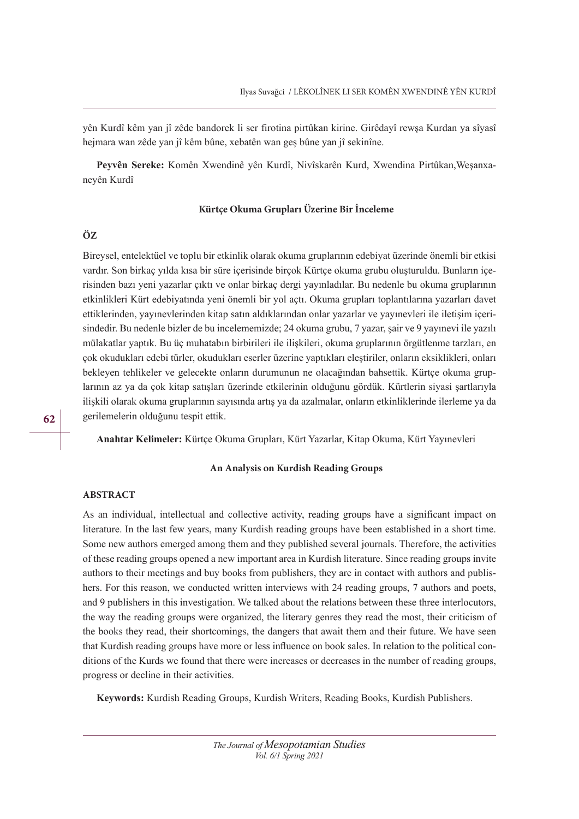yên Kurdî kêm yan jî zêde bandorek li ser firotina pirtûkan kirine. Girêdayî rewşa Kurdan ya sîyasî hejmara wan zêde yan jî kêm bûne, xebatên wan geş bûne yan jî sekinîne.

Peyvên Sereke: Komên Xwendinê yên Kurdî, Nivîskarên Kurd, Xwendina Pirtûkan,Weşanxaneyên Kurdî

# **Kürtçe Okuma Grupları Üzerine Bir İnceleme**

### **ÖZ**

Bireysel, entelektüel ve toplu bir etkinlik olarak okuma gruplarının edebiyat üzerinde önemli bir etkisi vardır. Son birkaç yılda kısa bir süre içerisinde birçok Kürtçe okuma grubu oluşturuldu. Bunların içerisinden bazı yeni yazarlar çıktı ve onlar birkaç dergi yayınladılar. Bu nedenle bu okuma gruplarının etkinlikleri Kürt edebiyatında yeni önemli bir yol açtı. Okuma grupları toplantılarına yazarları davet ettiklerinden, yayınevlerinden kitap satın aldıklarından onlar yazarlar ve yayınevleri ile iletişim içerisindedir. Bu nedenle bizler de bu incelememizde; 24 okuma grubu, 7 yazar, şair ve 9 yayınevi ile yazılı mülakatlar yaptık. Bu üç muhatabın birbirileri ile ilişkileri, okuma gruplarının örgütlenme tarzları, en çok okudukları edebi türler, okudukları eserler üzerine yaptıkları eleştiriler, onların eksiklikleri, onları bekleyen tehlikeler ve gelecekte onların durumunun ne olacağından bahsettik. Kürtçe okuma gruplarının az ya da çok kitap satışları üzerinde etkilerinin olduğunu gördük. Kürtlerin siyasi şartlarıyla ilişkili olarak okuma gruplarının sayısında artış ya da azalmalar, onların etkinliklerinde ilerleme ya da gerilemelerin olduğunu tespit ettik.

# **Anahtar Kelimeler:** Kürtçe Okuma Grupları, Kürt Yazarlar, Kitap Okuma, Kürt Yayınevleri

#### **An Analysis on Kurdish Reading Groups**

#### **ABSTRACT**

As an individual, intellectual and collective activity, reading groups have a significant impact on literature. In the last few years, many Kurdish reading groups have been established in a short time. Some new authors emerged among them and they published several journals. Therefore, the activities of these reading groups opened a new important area in Kurdish literature. Since reading groups invite authors to their meetings and buy books from publishers, they are in contact with authors and publishers. For this reason, we conducted written interviews with 24 reading groups, 7 authors and poets, and 9 publishers in this investigation. We talked about the relations between these three interlocutors, the way the reading groups were organized, the literary genres they read the most, their criticism of the books they read, their shortcomings, the dangers that await them and their future. We have seen that Kurdish reading groups have more or less infuence on book sales. In relation to the political conditions of the Kurds we found that there were increases or decreases in the number of reading groups, progress or decline in their activities.

**Keywords:** Kurdish Reading Groups, Kurdish Writers, Reading Books, Kurdish Publishers.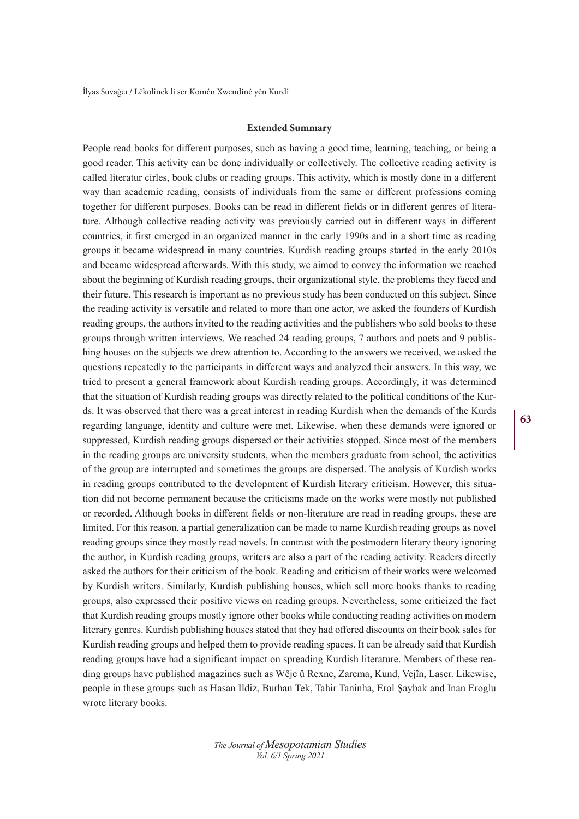#### **Extended Summary**

People read books for diferent purposes, such as having a good time, learning, teaching, or being a good reader. This activity can be done individually or collectively. The collective reading activity is called literatur cirles, book clubs or reading groups. This activity, which is mostly done in a diferent way than academic reading, consists of individuals from the same or diferent professions coming together for diferent purposes. Books can be read in diferent fields or in diferent genres of literature. Although collective reading activity was previously carried out in diferent ways in diferent countries, it first emerged in an organized manner in the early 1990s and in a short time as reading groups it became widespread in many countries. Kurdish reading groups started in the early 2010s and became widespread afterwards. With this study, we aimed to convey the information we reached about the beginning of Kurdish reading groups, their organizational style, the problems they faced and their future. This research is important as no previous study has been conducted on this subject. Since the reading activity is versatile and related to more than one actor, we asked the founders of Kurdish reading groups, the authors invited to the reading activities and the publishers who sold books to these groups through written interviews. We reached 24 reading groups, 7 authors and poets and 9 publishing houses on the subjects we drew attention to. According to the answers we received, we asked the questions repeatedly to the participants in diferent ways and analyzed their answers. In this way, we tried to present a general framework about Kurdish reading groups. Accordingly, it was determined that the situation of Kurdish reading groups was directly related to the political conditions of the Kurds. It was observed that there was a great interest in reading Kurdish when the demands of the Kurds regarding language, identity and culture were met. Likewise, when these demands were ignored or suppressed, Kurdish reading groups dispersed or their activities stopped. Since most of the members in the reading groups are university students, when the members graduate from school, the activities of the group are interrupted and sometimes the groups are dispersed. The analysis of Kurdish works in reading groups contributed to the development of Kurdish literary criticism. However, this situation did not become permanent because the criticisms made on the works were mostly not published or recorded. Although books in diferent fields or non-literature are read in reading groups, these are limited. For this reason, a partial generalization can be made to name Kurdish reading groups as novel reading groups since they mostly read novels. In contrast with the postmodern literary theory ignoring the author, in Kurdish reading groups, writers are also a part of the reading activity. Readers directly asked the authors for their criticism of the book. Reading and criticism of their works were welcomed by Kurdish writers. Similarly, Kurdish publishing houses, which sell more books thanks to reading groups, also expressed their positive views on reading groups. Nevertheless, some criticized the fact that Kurdish reading groups mostly ignore other books while conducting reading activities on modern literary genres. Kurdish publishing houses stated that they had ofered discounts on their book sales for Kurdish reading groups and helped them to provide reading spaces. It can be already said that Kurdish reading groups have had a significant impact on spreading Kurdish literature. Members of these reading groups have published magazines such as Wêje û Rexne, Zarema, Kund, Vejîn, Laser. Likewise, people in these groups such as Hasan Ildiz, Burhan Tek, Tahir Taninha, Erol Şaybak and Inan Eroglu wrote literary books.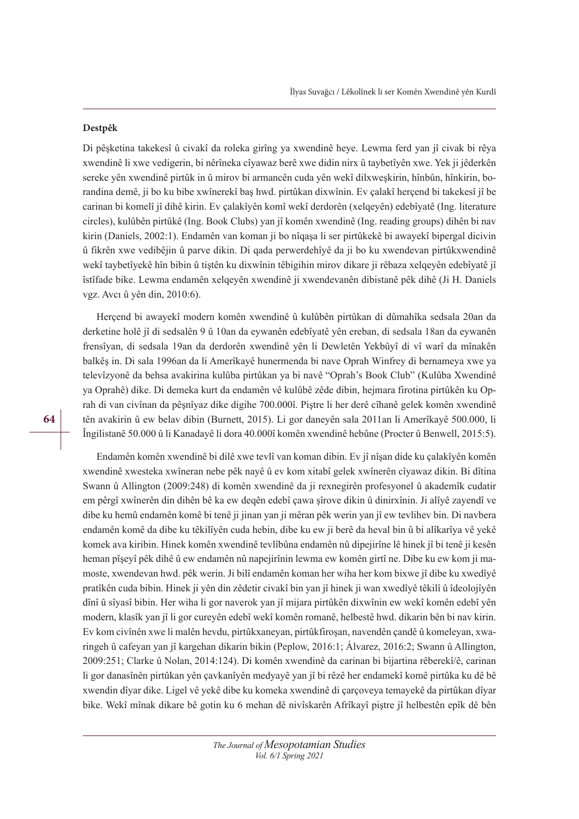#### **Destpêk**

Di pêşketina takekesî û civakî da roleka girîng ya xwendinê heye. Lewma ferd yan jî civak bi rêya xwendinê li xwe vedigerin, bi nêrîneka cîyawaz berê xwe didin nirx û taybetîyên xwe. Yek ji jêderkên sereke yên xwendinê pirtûk in û mirov bi armancên cuda yên wekî dilxweşkirin, hînbûn, hînkirin, borandina demê, ji bo ku bibe xwînerekî baş hwd. pirtûkan dixwînin. Ev çalakî herçend bi takekesî jî be carinan bi komelî jî dihê kirin. Ev çalakîyên komî wekî derdorên (xelqeyên) edebîyatê (Ing. literature circles), kulûbên pirtûkê (Ing. Book Clubs) yan jî komên xwendinê (Ing. reading groups) dihên bi nav kirin (Daniels, 2002:1). Endamên van koman ji bo nîqaşa li ser pirtûkekê bi awayekî bipergal dicivin û fikrên xwe vedibêjin û parve dikin. Di qada perwerdehîyê da ji bo ku xwendevan pirtûkxwendinê wekî taybetîyekê hîn bibin û tiştên ku dixwînin têbigihin mirov dikare ji rêbaza xelqeyên edebîyatê jî îstîfade bike. Lewma endamên xelqeyên xwendinê ji xwendevanên dibistanê pêk dihê (Ji H. Daniels vgz. Avcı û yên din, 2010:6).

Herçend bi awayekî modern komên xwendinê û kulûbên pirtûkan di dûmahîka sedsala 20an da derketine holê jî di sedsalên 9 û 10an da eywanên edebîyatê yên ereban, di sedsala 18an da eywanên frensîyan, di sedsala 19an da derdorên xwendinê yên li Dewletên Yekbûyî di vî warî da mînakên balkêş in. Di sala 1996an da li Amerîkayê hunermenda bi nave Oprah Winfrey di bernameya xwe ya televîzyonê da behsa avakirina kulûba pirtûkan ya bi navê "Oprah's Book Club" (Kulûba Xwendinê ya Oprahê) dike. Di demeka kurt da endamên vê kulûbê zêde dibin, hejmara firotina pirtûkên ku Oprah di van civînan da pêşnîyaz dike digihe 700.000î. Piştre li her derê cîhanê gelek komên xwendinê tên avakirin û ew belav dibin (Burnett, 2015). Li gor daneyên sala 2011an li Amerîkayê 500.000, li Îngilistanê 50.000 û li Kanadayê li dora 40.000î komên xwendinê hebûne (Procter û Benwell, 2015:5).

Endamên komên xwendinê bi dilê xwe tevlî van koman dibin. Ev jî nîşan dide ku çalakîyên komên xwendinê xwesteka xwîneran nebe pêk nayê û ev kom xitabî gelek xwînerên cîyawaz dikin. Bi dîtina Swann û Allington (2009:248) di komên xwendinê da ji rexnegirên profesyonel û akademîk cudatir em pêrgî xwînerên din dihên bê ka ew deqên edebî çawa şîrove dikin û dinirxînin. Ji alîyê zayendî ve dibe ku hemû endamên komê bi tenê ji jinan yan ji mêran pêk werin yan jî ew tevlihev bin. Di navbera endamên komê da dibe ku têkilîyên cuda hebin, dibe ku ew ji berê da heval bin û bi alîkarîya vê yekê komek ava kiribin. Hinek komên xwendinê tevlîbûna endamên nû dipejirîne lê hinek jî bi tenê ji kesên heman pîşeyî pêk dihê û ew endamên nû napejirînin lewma ew komên girtî ne. Dibe ku ew kom ji mamoste, xwendevan hwd. pêk werin. Ji bilî endamên koman her wiha her kom bixwe jî dibe ku xwedîyê pratîkên cuda bibin. Hinek ji yên din zêdetir civakî bin yan jî hinek ji wan xwedîyê têkilî û îdeolojîyên dînî û sîyasî bibin. Her wiha li gor naverok yan jî mijara pirtûkên dixwînin ew wekî komên edebî yên modern, klasîk yan jî li gor cureyên edebî wekî komên romanê, helbestê hwd. dikarin bên bi nav kirin. Ev kom civînên xwe li malên hevdu, pirtûkxaneyan, pirtûkfiroşan, navendên çandê û komeleyan, xwaringeh û cafeyan yan jî kargehan dikarin bikin (Peplow, 2016:1; Álvarez, 2016:2; Swann û Allington, 2009:251; Clarke û Nolan, 2014:124). Di komên xwendinê da carinan bi bijartina rêberekî/ê, carinan li gor danasînên pirtûkan yên çavkanîyên medyayê yan jî bi rêzê her endamekî komê pirtûka ku dê bê xwendin dîyar dike. Ligel vê yekê dibe ku komeka xwendinê di çarçoveya temayekê da pirtûkan dîyar bike. Wekî mînak dikare bê gotin ku 6 mehan dê nivîskarên Afrîkayî piştre jî helbestên epîk dê bên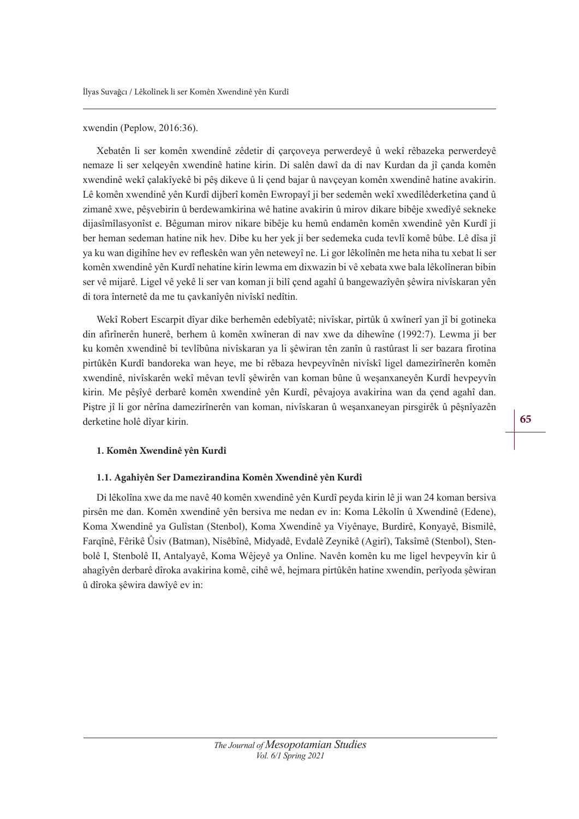#### xwendin (Peplow, 2016:36).

Xebatên li ser komên xwendinê zêdetir di çarçoveya perwerdeyê û wekî rêbazeka perwerdeyê nemaze li ser xelqeyên xwendinê hatine kirin. Di salên dawî da di nav Kurdan da jî çanda komên xwendinê wekî çalakîyekê bi pêş dikeve û li çend bajar û navçeyan komên xwendinê hatine avakirin. Lê komên xwendinê yên Kurdî dijberî komên Ewropayî ji ber sedemên wekî xwedîlêderketina çand û zimanê xwe, pêşvebirin û berdewamkirina wê hatine avakirin û mirov dikare bibêje xwedîyê sekneke dijasîmîlasyonîst e. Bêguman mirov nikare bibêje ku hemû endamên komên xwendinê yên Kurdî ji ber heman sedeman hatine nik hev. Dibe ku her yek ji ber sedemeka cuda tevlî komê bûbe. Lê dîsa jî ya ku wan digihîne hev ev refeskên wan yên neteweyî ne. Li gor lêkolînên me heta niha tu xebat li ser komên xwendinê yên Kurdî nehatine kirin lewma em dixwazin bi vê xebata xwe bala lêkolîneran bibin ser vê mijarê. Ligel vê yekê li ser van koman ji bilî çend agahî û bangewazîyên şêwira nivîskaran yên di tora înternetê da me tu çavkanîyên nivîskî nedîtin.

Wekî Robert Escarpit dîyar dike berhemên edebîyatê; nivîskar, pirtûk û xwînerî yan jî bi gotineka din afirînerên hunerê, berhem û komên xwîneran di nav xwe da dihewîne (1992:7). Lewma ji ber ku komên xwendinê bi tevlîbûna nivîskaran ya li şêwiran tên zanîn û rastûrast li ser bazara firotina pirtûkên Kurdî bandoreka wan heye, me bi rêbaza hevpeyvînên nivîskî ligel damezirînerên komên xwendinê, nivîskarên wekî mêvan tevlî şêwirên van koman bûne û weşanxaneyên Kurdî hevpeyvîn kirin. Me pêşîyê derbarê komên xwendinê yên Kurdî, pêvajoya avakirina wan da çend agahî dan. Piştre jî li gor nêrîna damezirînerên van koman, nivîskaran û weşanxaneyan pirsgirêk û pêşnîyazên derketine holê dîyar kirin.

#### **1. Komên Xwendinê yên Kurdî**

#### **1.1. Agahîyên Ser Damezirandina Komên Xwendinê yên Kurdî**

Di lêkolîna xwe da me navê 40 komên xwendinê yên Kurdî peyda kirin lê ji wan 24 koman bersiva pirsên me dan. Komên xwendinê yên bersiva me nedan ev in: Koma Lêkolîn û Xwendinê (Edene), Koma Xwendinê ya Gulîstan (Stenbol), Koma Xwendinê ya Viyênaye, Burdirê, Konyayê, Bismilê, Farqînê, Fêrikê Ûsiv (Batman), Nisêbînê, Midyadê, Evdalê Zeynikê (Agirî), Taksîmê (Stenbol), Stenbolê I, Stenbolê II, Antalyayê, Koma Wêjeyê ya Online. Navên komên ku me ligel hevpeyvîn kir û ahagîyên derbarê dîroka avakirina komê, cihê wê, hejmara pirtûkên hatine xwendin, perîyoda şêwiran û dîroka şêwira dawîyê ev in: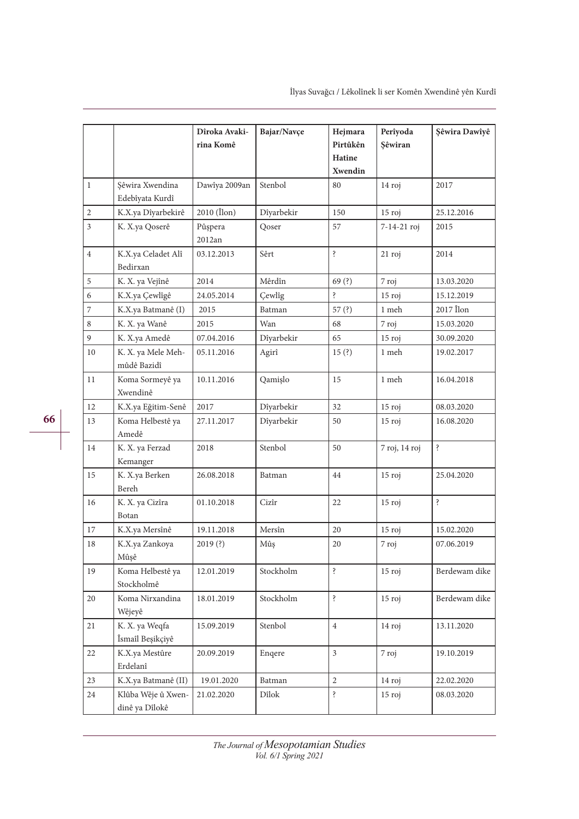|                  |                                      | Dîroka Avaki-<br>rina Komê | Bajar/Navçe | Hejmara<br>Pirtûkên<br>Hatine<br>Xwendin | Perîyoda<br>Şêwiran | Şêwira Dawîyê |
|------------------|--------------------------------------|----------------------------|-------------|------------------------------------------|---------------------|---------------|
| $\mathbf{1}$     | Şêwira Xwendina<br>Edebîyata Kurdî   | Dawîya 2009an              | Stenbol     | 80                                       | 14 roj              | 2017          |
| $\overline{2}$   | K.X.ya Dîyarbekirê                   | $2010$ (Ilon)              | Dîyarbekir  | 150                                      | $15$ roj            | 25.12.2016    |
| $\mathfrak{Z}$   | K. X.ya Qoserê                       | Pûşpera<br>2012an          | Qoser       | 57                                       | 7-14-21 roj         | 2015          |
| $\overline{4}$   | K.X.ya Celadet Alî<br>Bedirxan       | 03.12.2013                 | Sêrt        | $\ddot{\cdot}$                           | $21$ roj            | 2014          |
| $\,$ 5 $\,$      | K. X. ya Vejînê                      | 2014                       | Mêrdîn      | 69(?)                                    | 7 roj               | 13.03.2020    |
| 6                | K.X.ya Çewlîgê                       | 24.05.2014                 | Çewlîg      | ś.                                       | $15$ roj            | 15.12.2019    |
| $\boldsymbol{7}$ | K.X.ya Batmanê (I)                   | 2015                       | Batman      | 57 $(?)$                                 | 1 meh               | 2017 Îlon     |
| 8                | K. X. ya Wanê                        | 2015                       | Wan         | 68                                       | 7 roj               | 15.03.2020    |
| 9                | K. X.ya Amedê                        | 07.04.2016                 | Dîyarbekir  | 65                                       | 15 roj              | 30.09.2020    |
| 10               | K. X. ya Mele Meh-<br>mûdê Bazidî    | 05.11.2016                 | Agirî       | 15(?)                                    | 1 meh               | 19.02.2017    |
| 11               | Koma Sormeyê ya<br>Xwendinê          | 10.11.2016                 | Qamişlo     | 15                                       | 1 meh               | 16.04.2018    |
| 12               | K.X.ya Eğitim-Senê                   | 2017                       | Dîyarbekir  | 32                                       | $15$ roj            | 08.03.2020    |
| 13               | Koma Helbestê ya<br>Amedê            | 27.11.2017                 | Dîyarbekir  | 50                                       | $15$ roj            | 16.08.2020    |
| 14               | K. X. ya Ferzad<br>Kemanger          | 2018                       | Stenbol     | 50                                       | 7 roj, 14 roj       | Ś.            |
| 15               | K. X.ya Berken<br>Bereh              | 26.08.2018                 | Batman      | 44                                       | $15$ roj            | 25.04.2020    |
| 16               | K. X. ya Cizîra<br>Botan             | 01.10.2018                 | Cizîr       | 22                                       | $15$ roj            | ś.            |
| 17               | K.X.ya Mersînê                       | 19.11.2018                 | Mersîn      | 20                                       | $15$ roj            | 15.02.2020    |
| 18               | K.X.ya Zankoya<br>Mûşê               | 2019(?)                    | Mûş         | 20                                       | 7 roj               | 07.06.2019    |
| 19               | Koma Helbestê ya<br>Stockholmê       | 12.01.2019                 | Stockholm   | Ŝ.                                       | $15$ roj            | Berdewam dike |
| 20               | Koma Nirxandina<br>Wêjeyê            | 18.01.2019                 | Stockholm   | ś.                                       | $15$ roj            | Berdewam dike |
| 21               | K. X. ya Weqfa<br>Îsmaîl Beşikçiyê   | 15.09.2019                 | Stenbol     | $\overline{4}$                           | 14 roj              | 13.11.2020    |
| 22               | K.X.ya Mestûre<br>Erdelanî           | 20.09.2019                 | Enqere      | 3                                        | 7 roj               | 19.10.2019    |
| 23               | K.X.ya Batmanê (II)                  | 19.01.2020                 | Batman      | 2                                        | 14 roj              | 22.02.2020    |
| 24               | Klûba Wêje û Xwen-<br>dinê ya Dîlokê | 21.02.2020                 | Dîlok       | $\dot{\mathbf{S}}$                       | $15$ roj            | 08.03.2020    |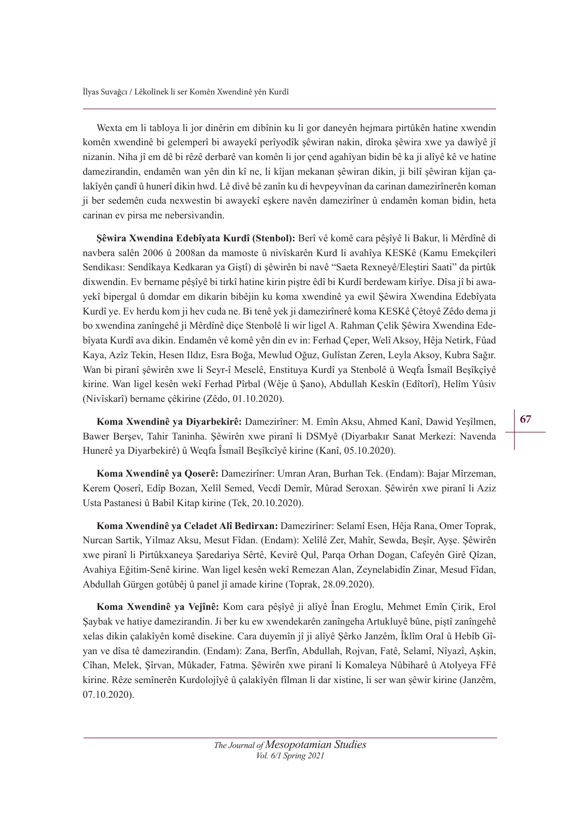Wexta em li tabloya li jor dinêrin em dibînin ku li gor daneyên hejmara pirtûkên hatine xwendin komên xwendinê bi gelemperî bi awayekî perîyodîk şêwiran nakin, dîroka şêwira xwe ya dawîyê jî nizanin. Niha jî em dê bi rêzê derbarê van komên li jor çend agahîyan bidin bê ka ji alîyê kê ve hatine damezirandin, endamên wan yên din kî ne, li kîjan mekanan şêwiran dikin, ji bilî şêwiran kîjan çalakîyên çandî û hunerî dikin hwd. Lê divê bê zanîn ku di hevpeyvînan da carinan damezirînerên koman ji ber sedemên cuda nexwestin bi awayekî eşkere navên damezirîner û endamên koman bidin, heta carinan ev pirsa me nebersivandin.

Sêwira Xwendina Edebîyata Kurdî (Stenbol): Berî vê komê cara pêşîyê li Bakur, li Mêrdînê di navbera salên 2006 û 2008an da mamoste û nivîskarên Kurd li avahîya KESKê (Kamu Emekçileri Sendikası: Sendîkaya Kedkaran ya Giştî) di şêwirên bi navê "Saeta Rexneyê/Eleştiri Saati" da pirtûk dixwendin. Ev bername pêşîyê bi tirkî hatine kirin piştre êdî bi Kurdî berdewam kirîye. Dîsa jî bi awayekî bipergal û domdar em dikarin bibêjin ku koma xwendinê ya ewil Şêwira Xwendina Edebîyata Kurdî ye. Ev herdu kom ji hev cuda ne. Bi tenê yek ji damezirînerê koma KESKê Çêtoyê Zêdo dema ji bo xwendina zanîngehê ji Mêrdînê diçe Stenbolê li wir ligel A. Rahman Çelik Şêwira Xwendina Edebîyata Kurdî ava dikin. Endamên vê komê yên din ev in: Ferhad Çeper, Welî Aksoy, Hêja Netirk, Fûad Kaya, Azîz Tekin, Hesen Ildız, Esra Boğa, Mewlud Oğuz, Gulîstan Zeren, Leyla Aksoy, Kubra Sağır. Wan bi piranî şêwirên xwe li Seyr-î Meselê, Enstituya Kurdî ya Stenbolê û Weqfa Îsmaîl Beşîkçîyê kirine. Wan ligel kesên wekî Ferhad Pîrbal (Wêje û Şano), Abdullah Keskîn (Edîtorî), Helîm Yûsiv (Nivîskarî) bername çêkirine (Zêdo, 01.10.2020).

Koma Xwendinê va Divarbekirê: Damezirîner: M. Emîn Aksu, Ahmed Kanî, Dawid Yesîlmen, Bawer Berşev, Tahir Taninha. Şêwirên xwe piranî li DSMyê (Diyarbakır Sanat Merkezi: Navenda Hunerê ya Diyarbekirê) û Weqfa Îsmaîl Beşîkcîyê kirine (Kanî, 05.10.2020).

Koma Xwendinê ya Qoserê: Damezirîner: Umran Aran, Burhan Tek. (Endam): Bajar Mîrzeman, Kerem Qoserî, Edîp Bozan, Xelîl Semed, Vecdî Demîr, Mûrad Seroxan. Şêwirên xwe piranî li Aziz Usta Pastanesi û Babil Kitap kirine (Tek, 20.10.2020).

Koma Xwendinê ya Celadet Alî Bedirxan: Damezirîner: Selamî Esen, Hêja Rana, Omer Toprak, Nurcan Sartik, Yilmaz Aksu, Mesut Fîdan. (Endam): Xelîlê Zer, Mahîr, Sewda, Beşîr, Ayşe. Şêwirên xwe piranî li Pirtûkxaneya Şaredariya Sêrtê, Kevirê Qul, Parqa Orhan Dogan, Cafeyên Girê Qîzan, Avahiya Eğitim-Senê kirine. Wan ligel kesên wekî Remezan Alan, Zeynelabidîn Zinar, Mesud Fîdan, Abdullah Gürgen gotûbêj û panel jî amade kirine (Toprak, 28.09.2020).

**Koma Xwendinê ya Vejînê:** Kom cara pêşîyê ji alîyê Înan Eroglu, Mehmet Emîn Çirik, Erol Şaybak ve hatiye damezirandin. Ji ber ku ew xwendekarên zanîngeha Artukluyê bûne, piştî zanîngehê xelas dikin çalakîyên komê disekine. Cara duyemîn jî ji alîyê Şêrko Janzêm, Îklîm Oral û Hebîb Gîyan ve dîsa tê damezirandin. (Endam): Zana, Berfîn, Abdullah, Rojvan, Fatê, Selamî, Nîyazî, Aşkin, Cîhan, Melek, Şîrvan, Mûkader, Fatma. Şêwirên xwe piranî li Komaleya Nûbiharê û Atolyeya FFê kirine. Rêze semînerên Kurdolojîyê û çalakîyên fîlman li dar xistine, li ser wan şêwir kirine (Janzêm, 07.10.2020).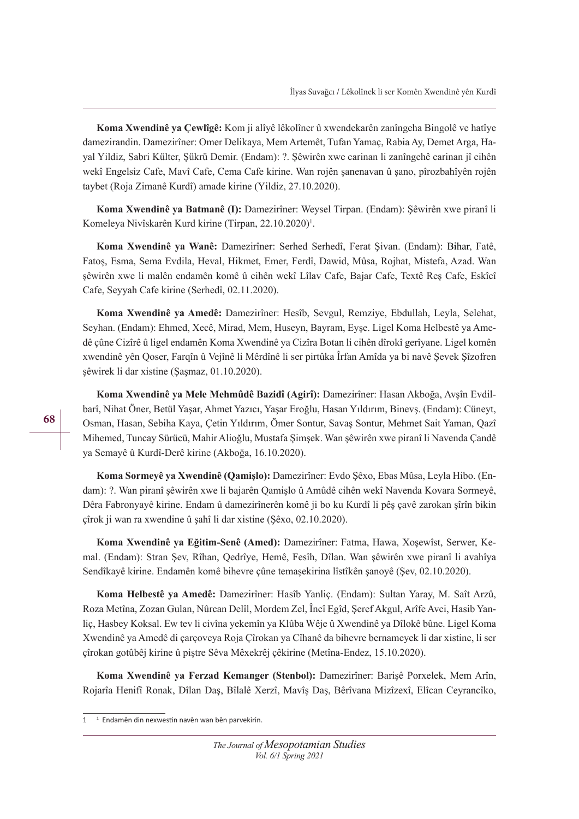**Koma Xwendinê va Cewlîgê:** Kom ji alîyê lêkolîner û xwendekarên zanîngeha Bingolê ve hatîye damezirandin. Damezirîner: Omer Delikaya, Mem Artemêt, Tufan Yamaç, Rabia Ay, Demet Arga, Hayal Yildiz, Sabri Külter, Şükrü Demir. (Endam): ?. Şêwirên xwe carinan li zanîngehê carinan jî cihên wekî Engelsiz Cafe, Mavî Cafe, Cema Cafe kirine. Wan rojên şanenavan û şano, pîrozbahîyên rojên taybet (Roja Zimanê Kurdî) amade kirine (Yildiz, 27.10.2020).

**Koma Xwendinê va Batmanê (I):** Damezirîner: Weysel Tirpan. (Endam): Sêwirên xwe piranî li Komeleya Nivîskarên Kurd kirine (Tirpan, 22.10.2020)<sup>1</sup>.

Koma Xwendinê ya Wanê: Damezirîner: Serhed Serhedî, Ferat Şivan. (Endam): Bihar, Fatê, Fatoş, Esma, Sema Evdila, Heval, Hikmet, Emer, Ferdî, Dawid, Mûsa, Rojhat, Mistefa, Azad. Wan şêwirên xwe li malên endamên komê û cihên wekî Lîlav Cafe, Bajar Cafe, Textê Reş Cafe, Eskîcî Cafe, Seyyah Cafe kirine (Serhedî, 02.11.2020).

Koma Xwendinê ya Amedê: Damezirîner: Hesîb, Sevgul, Remziye, Ebdullah, Leyla, Selehat, Seyhan. (Endam): Ehmed, Xecê, Mirad, Mem, Huseyn, Bayram, Eyşe. Ligel Koma Helbestê ya Amedê çûne Cizîrê û ligel endamên Koma Xwendinê ya Cizîra Botan li cihên dîrokî gerîyane. Ligel komên xwendinê yên Qoser, Farqîn û Vejînê li Mêrdînê li ser pirtûka Îrfan Amîda ya bi navê Şevek Şîzofren şêwirek li dar xistine (Şaşmaz, 01.10.2020).

Koma Xwendinê ya Mele Mehmûdê Bazidî (Agirî): Damezirîner: Hasan Akboğa, Avşîn Evdilbarî, Nihat Öner, Betül Yaşar, Ahmet Yazıcı, Yaşar Eroğlu, Hasan Yıldırım, Binevş. (Endam): Cüneyt, Osman, Hasan, Sebiha Kaya, Çetin Yıldırım, Ömer Sontur, Savaş Sontur, Mehmet Sait Yaman, Qazî Mihemed, Tuncay Sürücü, Mahir Alioğlu, Mustafa Şimşek. Wan şêwirên xwe piranî li Navenda Çandê ya Semayê û Kurdî-Derê kirine (Akboğa, 16.10.2020).

Koma Sormevê va Xwendinê (Oamislo): Damezirîner: Evdo Sêxo, Ebas Mûsa, Leyla Hibo. (Endam): ?. Wan piranî şêwirên xwe li bajarên Qamişlo û Amûdê cihên wekî Navenda Kovara Sormeyê, Dêra Fabronyayê kirine. Endam û damezirînerên komê ji bo ku Kurdî li pêş çavê zarokan şîrîn bikin çîrok ji wan ra xwendine û şahî li dar xistine (Şêxo, 02.10.2020).

Koma Xwendinê ya Eğitim-Senê (Amed): Damezirîner: Fatma, Hawa, Xoşewîst, Serwer, Kemal. (Endam): Stran Şev, Rîhan, Qedrîye, Hemê, Fesîh, Dîlan. Wan şêwirên xwe piranî li avahîya Sendîkayê kirine. Endamên komê bihevre çûne temaşekirina lîstîkên şanoyê (Şev, 02.10.2020).

Koma Helbestê va Amedê: Damezirîner: Hasîb Yanliç. (Endam): Sultan Yaray, M. Saît Arzû, Roza Metîna, Zozan Gulan, Nûrcan Delîl, Mordem Zel, Încî Egîd, Şeref Akgul, Arîfe Avci, Hasib Yanliç, Hasbey Koksal. Ew tev li civîna yekemîn ya Klûba Wêje û Xwendinê ya Dîlokê bûne. Ligel Koma Xwendinê ya Amedê di çarçoveya Roja Çîrokan ya Cîhanê da bihevre bernameyek li dar xistine, li ser çîrokan gotûbêj kirine û piştre Sêva Mêxekrêj çêkirine (Metîna-Endez, 15.10.2020).

Koma Xwendinê ya Ferzad Kemanger (Stenbol): Damezirîner: Barişê Porxelek, Mem Arîn, Rojarîa Henifî Ronak, Dîlan Daş, Bîlalê Xerzî, Mavîş Daş, Bêrîvana Mizîzexî, Elîcan Ceyrancîko,

**68**

<sup>1&</sup>lt;sup>1</sup> Endamên din nexwestin navên wan bên parvekirin.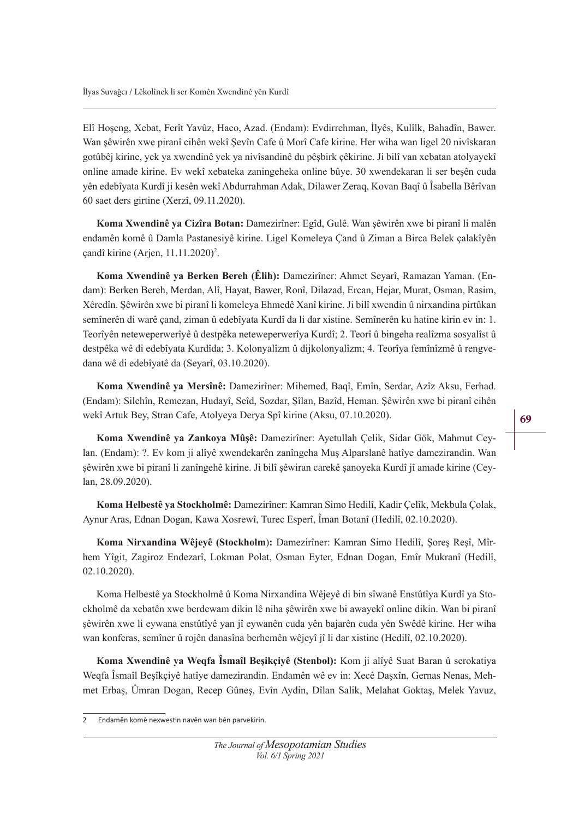Elî Hoşeng, Xebat, Ferît Yavûz, Haco, Azad. (Endam): Evdirrehman, İlyês, Kulîlk, Bahadîn, Bawer. Wan şêwirên xwe piranî cihên wekî Şevîn Cafe û Morî Cafe kirine. Her wiha wan ligel 20 nivîskaran gotûbêj kirine, yek ya xwendinê yek ya nivîsandinê du pêşbirk çêkirine. Ji bilî van xebatan atolyayekî online amade kirine. Ev wekî xebateka zaningeheka online bûye. 30 xwendekaran li ser beşên cuda yên edebîyata Kurdî ji kesên wekî Abdurrahman Adak, Dilawer Zeraq, Kovan Baqî û Îsabella Bêrîvan 60 saet ders girtine (Xerzî, 09.11.2020).

Koma Xwendinê va Cizîra Botan: Damezirîner: Egîd, Gulê. Wan sêwirên xwe bi piranî li malên endamên komê û Damla Pastanesiyê kirine. Ligel Komeleya Çand û Ziman a Birca Belek çalakîyên çandî kirine (Arjen, 11.11.2020)<sup>2</sup>.

**Koma Xwendinê ya Berken Bereh (Êlih):** Damezirîner: Ahmet Seyarî, Ramazan Yaman. (Endam): Berken Bereh, Merdan, Alî, Hayat, Bawer, Ronî, Dilazad, Ercan, Hejar, Murat, Osman, Rasim, Xêredîn. Şêwirên xwe bi piranî li komeleya Ehmedê Xanî kirine. Ji bilî xwendin û nirxandina pirtûkan semînerên di warê çand, ziman û edebîyata Kurdî da li dar xistine. Semînerên ku hatine kirin ev in: 1. Teorîyên neteweperwerîyê û destpêka neteweperwerîya Kurdî; 2. Teorî û bingeha realîzma sosyalîst û destpêka wê di edebîyata Kurdîda; 3. Kolonyalîzm û dijkolonyalîzm; 4. Teorîya femînîzmê û rengvedana wê di edebîyatê da (Seyarî, 03.10.2020).

Koma Xwendinê ya Mersînê: Damezirîner: Mihemed, Baqî, Emîn, Serdar, Azîz Aksu, Ferhad. (Endam): Silehîn, Remezan, Hudayî, Seîd, Sozdar, Şîlan, Bazîd, Heman. Şêwirên xwe bi piranî cihên wekî Artuk Bey, Stran Cafe, Atolyeya Derya Spî kirine (Aksu, 07.10.2020).

Koma Xwendinê va Zankova Mûşê: Damezirîner: Ayetullah Çelik, Sidar Gök, Mahmut Ceylan. (Endam): ?. Ev kom ji alîyê xwendekarên zanîngeha Muş Alparslanê hatîye damezirandin. Wan şêwirên xwe bi piranî li zanîngehê kirine. Ji bilî şêwiran carekê şanoyeka Kurdî jî amade kirine (Ceylan, 28.09.2020).

Koma Helbestê ya Stockholmê: Damezirîner: Kamran Simo Hedilî, Kadir Çelîk, Mekbula Çolak, Aynur Aras, Ednan Dogan, Kawa Xosrewî, Turec Esperî, Îman Botanî (Hedilî, 02.10.2020).

**Koma Nirxandina Wêjeyê (Stockholm):** Damezirîner: Kamran Simo Hedilî, Şoreş Reşî, Mîrhem Yîgit, Zagiroz Endezarî, Lokman Polat, Osman Eyter, Ednan Dogan, Emîr Mukranî (Hedilî, 02.10.2020).

Koma Helbestê ya Stockholmê û Koma Nirxandina Wêjeyê di bin sîwanê Enstûtîya Kurdî ya Stockholmê da xebatên xwe berdewam dikin lê niha şêwirên xwe bi awayekî online dikin. Wan bi piranî şêwirên xwe li eywana enstûtîyê yan jî eywanên cuda yên bajarên cuda yên Swêdê kirine. Her wiha wan konferas, semîner û rojên danasîna berhemên wêjeyî jî li dar xistine (Hedilî, 02.10.2020).

**Koma Xwendinê ya Weqfa Îsmaîl Beşikçiyê (Stenbol):** Kom ji alîyê Suat Baran û serokatiya Weqfa Îsmaîl Beşîkçiyê hatîye damezirandin. Endamên wê ev in: Xecê Daşxîn, Gernas Nenas, Mehmet Erbaş, Ûmran Dogan, Recep Gûneş, Evîn Aydin, Dîlan Salik, Melahat Goktaş, Melek Yavuz,

Endamên komê nexwestin navên wan bên parvekirin.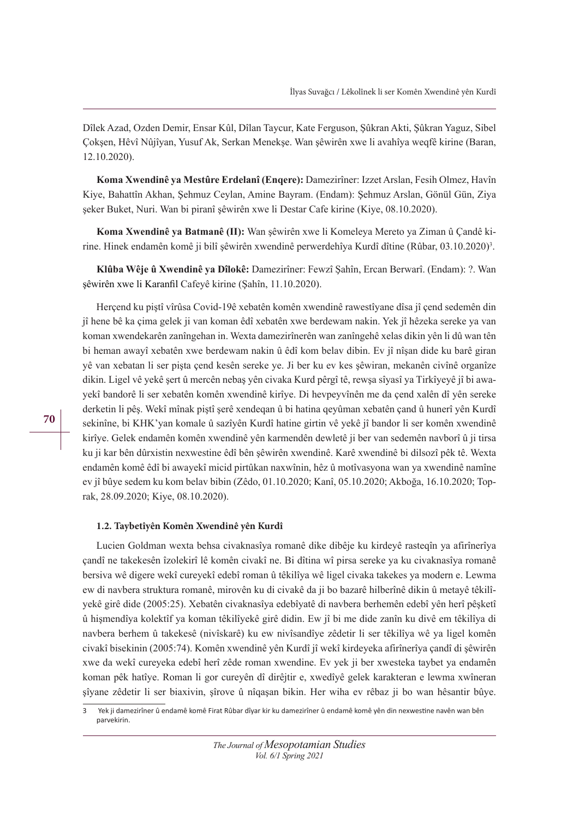Dîlek Azad, Ozden Demir, Ensar Kûl, Dîlan Taycur, Kate Ferguson, Şûkran Akti, Şûkran Yaguz, Sibel Çokşen, Hêvî Nûjîyan, Yusuf Ak, Serkan Menekşe. Wan şêwirên xwe li avahîya weqfê kirine (Baran, 12.10.2020).

Koma Xwendinê va Mestûre Erdelanî (Engere): Damezirîner: Izzet Arslan, Fesih Olmez, Havîn Kiye, Bahattîn Akhan, Şehmuz Ceylan, Amine Bayram. (Endam): Şehmuz Arslan, Gönül Gün, Ziya şeker Buket, Nuri. Wan bi piranî şêwirên xwe li Destar Cafe kirine (Kiye, 08.10.2020).

**Koma Xwendinê ya Batmanê (II):** Wan şêwirên xwe li Komeleya Mereto ya Ziman û Çandê kirine. Hinek endamên komê ji bilî şêwirên xwendinê perwerdehîya Kurdî dîtine (Rûbar, 03.10.2020)<sup>3</sup>.

**Klûba Wêje û Xwendinê ya Dîlokê:** Damezirîner: Fewzî Şahîn, Ercan Berwarî. (Endam): ?. Wan şêwirên xwe li Karanfl Cafeyê kirine (Şahîn, 11.10.2020).

Herçend ku piştî vîrûsa Covid-19ê xebatên komên xwendinê rawestîyane dîsa jî çend sedemên din jî hene bê ka çima gelek ji van koman êdî xebatên xwe berdewam nakin. Yek jî hêzeka sereke ya van koman xwendekarên zanîngehan in. Wexta damezirînerên wan zanîngehê xelas dikin yên li dû wan tên bi heman awayî xebatên xwe berdewam nakin û êdî kom belav dibin. Ev jî nîşan dide ku barê giran yê van xebatan li ser pişta çend kesên sereke ye. Ji ber ku ev kes şêwiran, mekanên civînê organîze dikin. Ligel vê yekê şert û mercên nebaş yên civaka Kurd pêrgî tê, rewşa sîyasî ya Tirkîyeyê jî bi awayekî bandorê li ser xebatên komên xwendinê kirîye. Di hevpeyvînên me da çend xalên dî yên sereke derketin li pêş. Wekî mînak piştî şerê xendeqan û bi hatina qeyûman xebatên çand û hunerî yên Kurdî sekinîne, bi KHK'yan komale û sazîyên Kurdî hatine girtin vê yekê jî bandor li ser komên xwendinê kirîye. Gelek endamên komên xwendinê yên karmendên dewletê ji ber van sedemên navborî û ji tirsa ku ji kar bên dûrxistin nexwestine êdî bên şêwirên xwendinê. Karê xwendinê bi dilsozî pêk tê. Wexta endamên komê êdî bi awayekî micid pirtûkan naxwînin, hêz û motîvasyona wan ya xwendinê namîne ev jî bûye sedem ku kom belav bibin (Zêdo, 01.10.2020; Kanî, 05.10.2020; Akboğa, 16.10.2020; Toprak, 28.09.2020; Kiye, 08.10.2020).

#### **1.2. Taybetîyên Komên Xwendinê yên Kurdî**

Lucien Goldman wexta behsa civaknasîya romanê dike dibêje ku kirdeyê rasteqîn ya afirînerîya çandî ne takekesên îzolekirî lê komên civakî ne. Bi dîtina wî pirsa sereke ya ku civaknasîya romanê bersiva wê digere wekî cureyekî edebî roman û têkilîya wê ligel civaka takekes ya modern e. Lewma ew di navbera struktura romanê, mirovên ku di civakê da ji bo bazarê hilberînê dikin û metayê têkilîyekê girê dide (2005:25). Xebatên civaknasîya edebîyatê di navbera berhemên edebî yên herî pêşketî û hişmendîya kolektîf ya koman têkilîyekê girê didin. Ew jî bi me dide zanîn ku divê em têkilîya di navbera berhem û takekesê (nivîskarê) ku ew nivîsandîye zêdetir li ser têkilîya wê ya ligel komên civakî bisekinin (2005:74). Komên xwendinê yên Kurdî jî wekî kirdeyeka afirînerîya çandî di şêwirên xwe da wekî cureyeka edebî herî zêde roman xwendine. Ev yek ji ber xwesteka taybet ya endamên koman pêk hatîye. Roman li gor cureyên dî dirêjtir e, xwedîyê gelek karakteran e lewma xwîneran şîyane zêdetir li ser biaxivin, şîrove û nîqaşan bikin. Her wiha ev rêbaz ji bo wan hêsantir bûye.

<sup>3</sup> Yek ji damezirîner û endamê komê Firat Rûbar dîyar kir ku damezirîner û endamê komê yên din nexwestne navên wan bên parvekirin.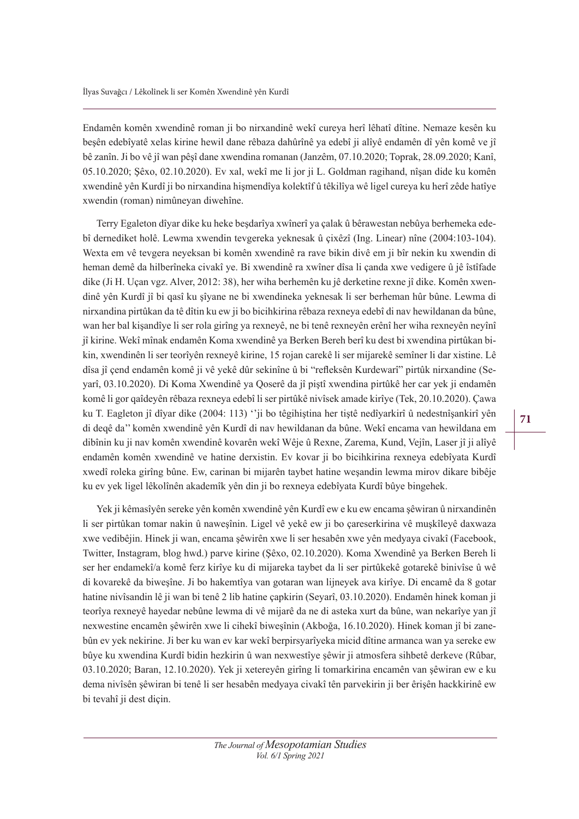Endamên komên xwendinê roman ji bo nirxandinê wekî cureya herî lêhatî dîtine. Nemaze kesên ku beşên edebîyatê xelas kirine hewil dane rêbaza dahûrînê ya edebî ji alîyê endamên dî yên komê ve jî bê zanîn. Ji bo vê jî wan pêşî dane xwendina romanan (Janzêm, 07.10.2020; Toprak, 28.09.2020; Kanî, 05.10.2020; Şêxo, 02.10.2020). Ev xal, wekî me li jor ji L. Goldman ragihand, nîşan dide ku komên xwendinê yên Kurdî ji bo nirxandina hişmendîya kolektîf û têkilîya wê ligel cureya ku herî zêde hatîye xwendin (roman) nimûneyan diwehîne.

Terry Egaleton dîyar dike ku heke beşdarîya xwînerî ya çalak û bêrawestan nebûya berhemeka edebî dernediket holê. Lewma xwendin tevgereka yeknesak û çixêzî (Ing. Linear) nîne (2004:103-104). Wexta em vê tevgera neyeksan bi komên xwendinê ra rave bikin divê em ji bîr nekin ku xwendin di heman demê da hilberîneka civakî ye. Bi xwendinê ra xwîner dîsa li çanda xwe vedigere û jê îstîfade dike (Ji H. Uçan vgz. Alver, 2012: 38), her wiha berhemên ku jê derketine rexne jî dike. Komên xwendinê yên Kurdî jî bi qasî ku şîyane ne bi xwendineka yeknesak li ser berheman hûr bûne. Lewma di nirxandina pirtûkan da tê dîtin ku ew ji bo bicihkirina rêbaza rexneya edebî di nav hewildanan da bûne, wan her bal kişandîye li ser rola girîng ya rexneyê, ne bi tenê rexneyên erênî her wiha rexneyên neyînî jî kirine. Wekî mînak endamên Koma xwendinê ya Berken Bereh berî ku dest bi xwendina pirtûkan bikin, xwendinên li ser teorîyên rexneyê kirine, 15 rojan carekê li ser mijarekê semîner li dar xistine. Lê dîsa jî çend endamên komê ji vê yekê dûr sekinîne û bi "refeksên Kurdewarî" pirtûk nirxandine (Seyarî, 03.10.2020). Di Koma Xwendinê ya Qoserê da jî piştî xwendina pirtûkê her car yek ji endamên komê li gor qaîdeyên rêbaza rexneya edebî li ser pirtûkê nivîsek amade kirîye (Tek, 20.10.2020). Çawa ku T. Eagleton jî dîyar dike (2004: 113) ''ji bo têgihiştina her tiştê nedîyarkirî û nedestnîşankirî yên di deqê da'' komên xwendinê yên Kurdî di nav hewildanan da bûne. Wekî encama van hewildana em dibînin ku ji nav komên xwendinê kovarên wekî Wêje û Rexne, Zarema, Kund, Vejîn, Laser jî ji alîyê endamên komên xwendinê ve hatine derxistin. Ev kovar ji bo bicihkirina rexneya edebîyata Kurdî xwedî roleka girîng bûne. Ew, carinan bi mijarên taybet hatine weşandin lewma mirov dikare bibêje ku ev yek ligel lêkolînên akademîk yên din ji bo rexneya edebîyata Kurdî bûye bingehek.

Yek ji kêmasîyên sereke yên komên xwendinê yên Kurdî ew e ku ew encama şêwiran û nirxandinên li ser pirtûkan tomar nakin û naweşînin. Ligel vê yekê ew ji bo çareserkirina vê muşkîleyê daxwaza xwe vedibêjin. Hinek ji wan, encama şêwirên xwe li ser hesabên xwe yên medyaya civakî (Facebook, Twitter, Instagram, blog hwd.) parve kirine (Şêxo, 02.10.2020). Koma Xwendinê ya Berken Bereh li ser her endamekî/a komê ferz kirîye ku di mijareka taybet da li ser pirtûkekê gotarekê binivîse û wê di kovarekê da biweşîne. Ji bo hakemtîya van gotaran wan lijneyek ava kirîye. Di encamê da 8 gotar hatine nivîsandin lê ji wan bi tenê 2 lib hatine çapkirin (Seyarî, 03.10.2020). Endamên hinek koman ji teorîya rexneyê hayedar nebûne lewma di vê mijarê da ne di asteka xurt da bûne, wan nekarîye yan jî nexwestine encamên şêwirên xwe li cihekî biweşînin (Akboğa, 16.10.2020). Hinek koman jî bi zanebûn ev yek nekirine. Ji ber ku wan ev kar wekî berpirsyarîyeka micid dîtine armanca wan ya sereke ew bûye ku xwendina Kurdî bidin hezkirin û wan nexwestîye şêwir ji atmosfera sihbetê derkeve (Rûbar, 03.10.2020; Baran, 12.10.2020). Yek ji xetereyên girîng li tomarkirina encamên van şêwiran ew e ku dema nivîsên şêwiran bi tenê li ser hesabên medyaya civakî tên parvekirin ji ber êrişên hackkirinê ew bi tevahî ji dest diçin.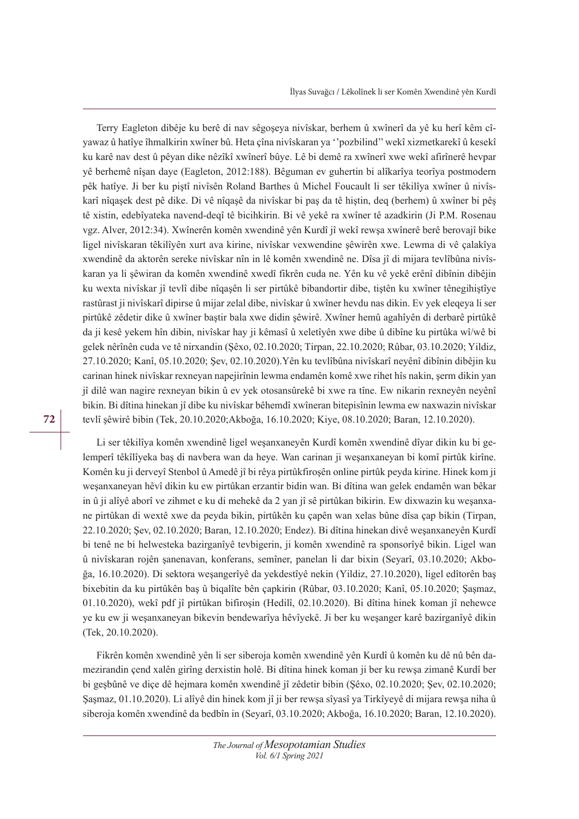Terry Eagleton dibêje ku berê di nav sêgoşeya nivîskar, berhem û xwînerî da yê ku herî kêm cîyawaz û hatîye îhmalkirin xwîner bû. Heta çîna nivîskaran ya ''pozbilind'' wekî xizmetkarekî û kesekî ku karê nav dest û pêyan dike nêzîkî xwînerî bûye. Lê bi demê ra xwînerî xwe wekî afirînerê hevpar yê berhemê nîşan daye (Eagleton, 2012:188). Bêguman ev guhertin bi alîkarîya teorîya postmodern pêk hatîye. Ji ber ku piştî nivîsên Roland Barthes û Michel Foucault li ser têkilîya xwîner û nivîskarî nîqaşek dest pê dike. Di vê nîqaşê da nivîskar bi paş da tê hiştin, deq (berhem) û xwîner bi pêş tê xistin, edebîyateka navend-deqî tê bicihkirin. Bi vê yekê ra xwîner tê azadkirin (Ji P.M. Rosenau vgz. Alver, 2012:34). Xwînerên komên xwendinê yên Kurdî jî wekî rewşa xwînerê berê berovajî bike ligel nivîskaran têkilîyên xurt ava kirine, nivîskar vexwendine şêwirên xwe. Lewma di vê çalakîya xwendinê da aktorên sereke nivîskar nîn in lê komên xwendinê ne. Dîsa jî di mijara tevlîbûna nivîskaran ya li şêwiran da komên xwendinê xwedî fikrên cuda ne. Yên ku vê yekê erênî dibînin dibêjin ku wexta nivîskar jî tevlî dibe nîqaşên li ser pirtûkê bibandortir dibe, tiştên ku xwîner tênegihiştîye rastûrast ji nivîskarî dipirse û mijar zelal dibe, nivîskar û xwîner hevdu nas dikin. Ev yek eleqeya li ser pirtûkê zêdetir dike û xwîner baştir bala xwe didin şêwirê. Xwîner hemû agahîyên di derbarê pirtûkê da ji kesê yekem hîn dibin, nivîskar hay ji kêmasî û xeletîyên xwe dibe û dibîne ku pirtûka wî/wê bi gelek nêrînên cuda ve tê nirxandin (Şêxo, 02.10.2020; Tirpan, 22.10.2020; Rûbar, 03.10.2020; Yildiz, 27.10.2020; Kanî, 05.10.2020; Şev, 02.10.2020).Yên ku tevlîbûna nivîskarî neyênî dibînin dibêjin ku carinan hinek nivîskar rexneyan napejirînin lewma endamên komê xwe rihet hîs nakin, şerm dikin yan jî dilê wan nagire rexneyan bikin û ev yek otosansûrekê bi xwe ra tîne. Ew nikarin rexneyên neyênî bikin. Bi dîtina hinekan jî dibe ku nivîskar bêhemdî xwîneran bitepisînin lewma ew naxwazin nivîskar tevlî şêwirê bibin (Tek, 20.10.2020;Akboğa, 16.10.2020; Kiye, 08.10.2020; Baran, 12.10.2020).

Li ser têkilîya komên xwendinê ligel weşanxaneyên Kurdî komên xwendinê dîyar dikin ku bi gelemperî têkîlîyeka baş di navbera wan da heye. Wan carinan ji weşanxaneyan bi komî pirtûk kirîne. Komên ku ji derveyî Stenbol û Amedê jî bi rêya pirtûkfiroşên online pirtûk peyda kirine. Hinek kom ji weşanxaneyan hêvî dikin ku ew pirtûkan erzantir bidin wan. Bi dîtina wan gelek endamên wan bêkar in û ji alîyê aborî ve zihmet e ku di mehekê da 2 yan jî sê pirtûkan bikirin. Ew dixwazin ku weşanxane pirtûkan di wextê xwe da peyda bikin, pirtûkên ku çapên wan xelas bûne dîsa çap bikin (Tirpan, 22.10.2020; Şev, 02.10.2020; Baran, 12.10.2020; Endez). Bi dîtina hinekan divê weşanxaneyên Kurdî bi tenê ne bi helwesteka bazirganîyê tevbigerin, ji komên xwendinê ra sponsorîyê bikin. Ligel wan û nivîskaran rojên şanenavan, konferans, semîner, panelan li dar bixin (Seyarî, 03.10.2020; Akboğa, 16.10.2020). Di sektora weşangerîyê da yekdestîyê nekin (Yildiz, 27.10.2020), ligel edîtorên baş bixebitin da ku pirtûkên baş û biqalîte bên çapkirin (Rûbar, 03.10.2020; Kanî, 05.10.2020; Şaşmaz, 01.10.2020), wekî pdf jî pirtûkan bifiroşin (Hedilî, 02.10.2020). Bi dîtina hinek koman jî nehewce ye ku ew ji weşanxaneyan bikevin bendewarîya hêvîyekê. Ji ber ku weşanger karê bazirganîyê dikin (Tek, 20.10.2020).

Fikrên komên xwendinê yên li ser siberoja komên xwendinê yên Kurdî û komên ku dê nû bên damezirandin çend xalên girîng derxistin holê. Bi dîtina hinek koman ji ber ku rewşa zimanê Kurdî ber bi geşbûnê ve diçe dê hejmara komên xwendinê jî zêdetir bibin (Şêxo, 02.10.2020; Şev, 02.10.2020; Şaşmaz, 01.10.2020). Li alîyê din hinek kom jî ji ber rewşa sîyasî ya Tirkîyeyê di mijara rewşa niha û siberoja komên xwendinê da bedbîn in (Seyarî, 03.10.2020; Akboğa, 16.10.2020; Baran, 12.10.2020).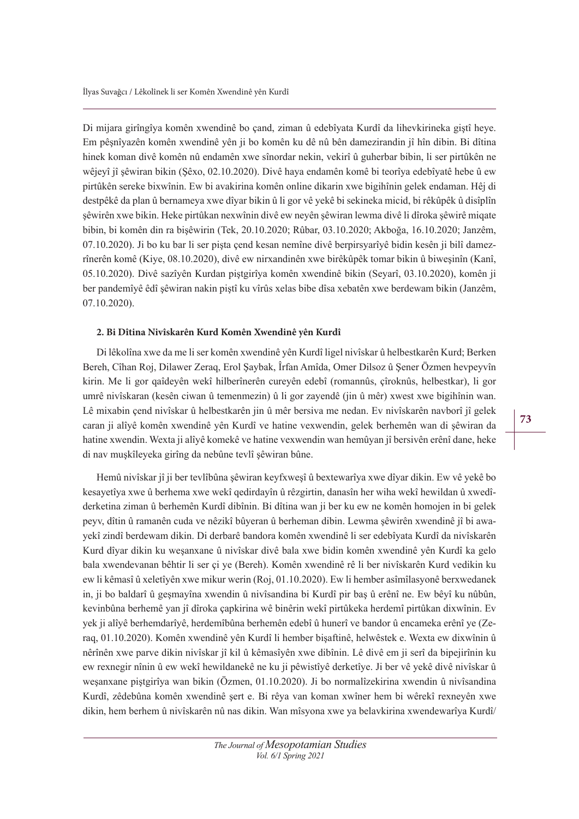Di mijara girîngîya komên xwendinê bo çand, ziman û edebîyata Kurdî da lihevkirineka giştî heye. Em pêşnîyazên komên xwendinê yên ji bo komên ku dê nû bên damezirandin jî hîn dibin. Bi dîtina hinek koman divê komên nû endamên xwe sînordar nekin, vekirî û guherbar bibin, li ser pirtûkên ne wêjeyî jî şêwiran bikin (Şêxo, 02.10.2020). Divê haya endamên komê bi teorîya edebîyatê hebe û ew pirtûkên sereke bixwînin. Ew bi avakirina komên online dikarin xwe bigihînin gelek endaman. Hêj di destpêkê da plan û bernameya xwe dîyar bikin û li gor vê yekê bi sekineka micid, bi rêkûpêk û disîplîn şêwirên xwe bikin. Heke pirtûkan nexwînin divê ew neyên şêwiran lewma divê li dîroka şêwirê miqate bibin, bi komên din ra bişêwirin (Tek, 20.10.2020; Rûbar, 03.10.2020; Akboğa, 16.10.2020; Janzêm, 07.10.2020). Ji bo ku bar li ser pişta çend kesan nemîne divê berpirsyarîyê bidin kesên ji bilî damezrînerên komê (Kiye, 08.10.2020), divê ew nirxandinên xwe birêkûpêk tomar bikin û biweşinîn (Kanî, 05.10.2020). Divê sazîyên Kurdan piştgirîya komên xwendinê bikin (Seyarî, 03.10.2020), komên ji ber pandemîyê êdî şêwiran nakin piştî ku vîrûs xelas bibe dîsa xebatên xwe berdewam bikin (Janzêm, 07.10.2020).

#### **2. Bi Dîtina Nivîskarên Kurd Komên Xwendinê yên Kurdî**

Di lêkolîna xwe da me li ser komên xwendinê yên Kurdî ligel nivîskar û helbestkarên Kurd; Berken Bereh, Cîhan Roj, Dilawer Zeraq, Erol Şaybak, Îrfan Amîda, Omer Dilsoz û Şener Özmen hevpeyvîn kirin. Me li gor qaîdeyên wekî hilberînerên cureyên edebî (romannûs, çîroknûs, helbestkar), li gor umrê nivîskaran (kesên ciwan û temenmezin) û li gor zayendê (jin û mêr) xwest xwe bigihînin wan. Lê mixabin çend nivîskar û helbestkarên jin û mêr bersiva me nedan. Ev nivîskarên navborî jî gelek caran ji alîyê komên xwendinê yên Kurdî ve hatine vexwendin, gelek berhemên wan di şêwiran da hatine xwendin. Wexta ji alîyê komekê ve hatine vexwendin wan hemûyan jî bersivên erênî dane, heke di nav muşkîleyeka girîng da nebûne tevlî şêwiran bûne.

Hemû nivîskar jî ji ber tevlîbûna şêwiran keyfxweşî û bextewarîya xwe dîyar dikin. Ew vê yekê bo kesayetîya xwe û berhema xwe wekî qedirdayîn û rêzgirtin, danasîn her wiha wekî hewildan û xwedîderketina ziman û berhemên Kurdî dibînin. Bi dîtina wan ji ber ku ew ne komên homojen in bi gelek peyv, dîtin û ramanên cuda ve nêzikî bûyeran û berheman dibin. Lewma şêwirên xwendinê jî bi awayekî zindî berdewam dikin. Di derbarê bandora komên xwendinê li ser edebîyata Kurdî da nivîskarên Kurd dîyar dikin ku weşanxane û nivîskar divê bala xwe bidin komên xwendinê yên Kurdî ka gelo bala xwendevanan bêhtir li ser çi ye (Bereh). Komên xwendinê rê li ber nivîskarên Kurd vedikin ku ew li kêmasî û xeletîyên xwe mikur werin (Roj, 01.10.2020). Ew li hember asîmîlasyonê berxwedanek in, ji bo baldarî û geşmayîna xwendin û nivîsandina bi Kurdî pir baş û erênî ne. Ew bêyî ku nûbûn, kevinbûna berhemê yan jî dîroka çapkirina wê binêrin wekî pirtûkeka herdemî pirtûkan dixwînin. Ev yek ji alîyê berhemdarîyê, herdemîbûna berhemên edebî û hunerî ve bandor û encameka erênî ye (Zeraq, 01.10.2020). Komên xwendinê yên Kurdî li hember bişaftinê, helwêstek e. Wexta ew dixwînin û nêrînên xwe parve dikin nivîskar jî kil û kêmasîyên xwe dibînin. Lê divê em ji serî da bipejirînin ku ew rexnegir nînin û ew wekî hewildanekê ne ku ji pêwistîyê derketîye. Ji ber vê yekê divê nivîskar û weşanxane piştgirîya wan bikin (Özmen, 01.10.2020). Ji bo normalîzekirina xwendin û nivîsandina Kurdî, zêdebûna komên xwendinê şert e. Bi rêya van koman xwîner hem bi wêrekî rexneyên xwe dikin, hem berhem û nivîskarên nû nas dikin. Wan mîsyona xwe ya belavkirina xwendewarîya Kurdî/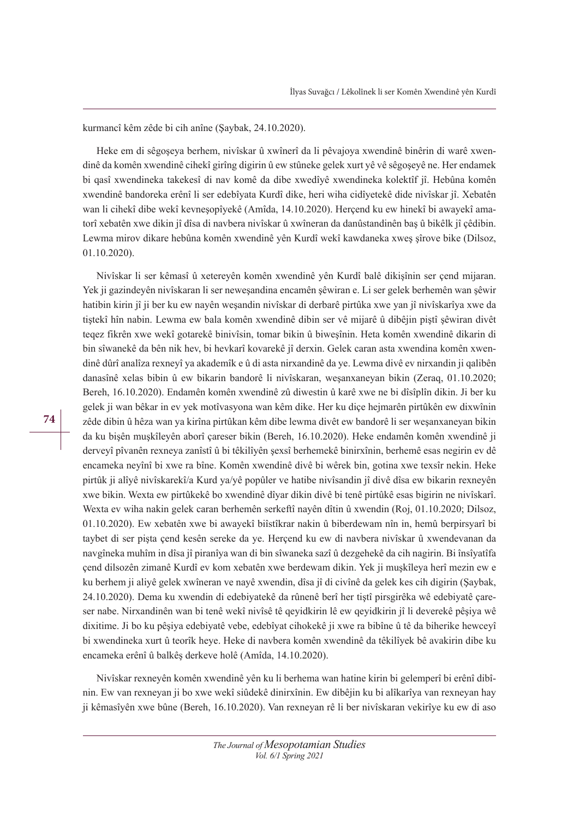kurmancî kêm zêde bi cih anîne (Şaybak, 24.10.2020).

Heke em di sêgoşeya berhem, nivîskar û xwînerî da li pêvajoya xwendinê binêrin di warê xwendinê da komên xwendinê cihekî girîng digirin û ew stûneke gelek xurt yê vê sêgoşeyê ne. Her endamek bi qasî xwendineka takekesî di nav komê da dibe xwedîyê xwendineka kolektîf jî. Hebûna komên xwendinê bandoreka erênî li ser edebîyata Kurdî dike, heri wiha cidîyetekê dide nivîskar jî. Xebatên wan li cihekî dibe wekî kevneşopîyekê (Amîda, 14.10.2020). Herçend ku ew hinekî bi awayekî amatorî xebatên xwe dikin jî dîsa di navbera nivîskar û xwîneran da danûstandinên baş û bikêlk jî çêdibin. Lewma mirov dikare hebûna komên xwendinê yên Kurdî wekî kawdaneka xweş şîrove bike (Dilsoz, 01.10.2020).

Nivîskar li ser kêmasî û xetereyên komên xwendinê yên Kurdî balê dikişînin ser çend mijaran. Yek ji gazindeyên nivîskaran li ser neweşandina encamên şêwiran e. Li ser gelek berhemên wan şêwir hatibin kirin jî ji ber ku ew nayên weşandin nivîskar di derbarê pirtûka xwe yan jî nivîskarîya xwe da tiştekî hîn nabin. Lewma ew bala komên xwendinê dibin ser vê mijarê û dibêjin piştî şêwiran divêt teqez fikrên xwe wekî gotarekê binivîsin, tomar bikin û biweşînin. Heta komên xwendinê dikarin di bin sîwanekê da bên nik hev, bi hevkarî kovarekê jî derxin. Gelek caran asta xwendina komên xwendinê dûrî analîza rexneyî ya akademîk e û di asta nirxandinê da ye. Lewma divê ev nirxandin ji qalibên danasînê xelas bibin û ew bikarin bandorê li nivîskaran, weşanxaneyan bikin (Zeraq, 01.10.2020; Bereh, 16.10.2020). Endamên komên xwendinê zû diwestin û karê xwe ne bi dîsîplîn dikin. Ji ber ku gelek ji wan bêkar in ev yek motîvasyona wan kêm dike. Her ku diçe hejmarên pirtûkên ew dixwînin zêde dibin û hêza wan ya kirîna pirtûkan kêm dibe lewma divêt ew bandorê li ser weşanxaneyan bikin da ku bişên muşkîleyên aborî çareser bikin (Bereh, 16.10.2020). Heke endamên komên xwendinê ji derveyî pîvanên rexneya zanîstî û bi têkilîyên şexsî berhemekê binirxînin, berhemê esas negirin ev dê encameka neyînî bi xwe ra bîne. Komên xwendinê divê bi wêrek bin, gotina xwe texsîr nekin. Heke pirtûk ji alîyê nivîskarekî/a Kurd ya/yê popûler ve hatibe nivîsandin jî divê dîsa ew bikarin rexneyên xwe bikin. Wexta ew pirtûkekê bo xwendinê dîyar dikin divê bi tenê pirtûkê esas bigirin ne nivîskarî. Wexta ev wiha nakin gelek caran berhemên serkeftî nayên dîtin û xwendin (Roj, 01.10.2020; Dilsoz, 01.10.2020). Ew xebatên xwe bi awayekî biîstîkrar nakin û biberdewam nîn in, hemû berpirsyarî bi taybet di ser pişta çend kesên sereke da ye. Herçend ku ew di navbera nivîskar û xwendevanan da navgîneka muhîm in dîsa jî piranîya wan di bin sîwaneka sazî û dezgehekê da cih nagirin. Bi însîyatîfa çend dilsozên zimanê Kurdî ev kom xebatên xwe berdewam dikin. Yek ji muşkîleya herî mezin ew e ku berhem ji aliyê gelek xwîneran ve nayê xwendin, dîsa jî di civînê da gelek kes cih digirin (Şaybak, 24.10.2020). Dema ku xwendin di edebiyatekê da rûnenê berî her tiştî pirsgirêka wê edebiyatê çareser nabe. Nirxandinên wan bi tenê wekî nivîsê tê qeyidkirin lê ew qeyidkirin jî li deverekê pêşiya wê dixitime. Ji bo ku pêşiya edebiyatê vebe, edebîyat cihokekê ji xwe ra bibîne û tê da biherike hewceyî bi xwendineka xurt û teorîk heye. Heke di navbera komên xwendinê da têkilîyek bê avakirin dibe ku encameka erênî û balkêş derkeve holê (Amîda, 14.10.2020).

Nivîskar rexneyên komên xwendinê yên ku li berhema wan hatine kirin bi gelemperî bi erênî dibînin. Ew van rexneyan ji bo xwe wekî siûdekê dinirxînin. Ew dibêjin ku bi alîkarîya van rexneyan hay ji kêmasîyên xwe bûne (Bereh, 16.10.2020). Van rexneyan rê li ber nivîskaran vekirîye ku ew di aso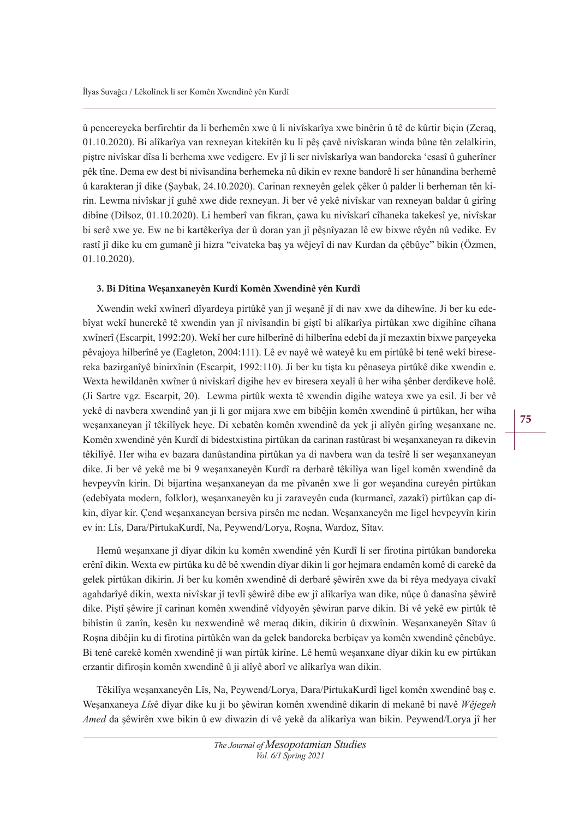û pencereyeka berfirehtir da li berhemên xwe û li nivîskarîya xwe binêrin û tê de kûrtir biçin (Zeraq, 01.10.2020). Bi alîkarîya van rexneyan kitekitên ku li pêş çavê nivîskaran winda bûne tên zelalkirin, piştre nivîskar dîsa li berhema xwe vedigere. Ev jî li ser nivîskarîya wan bandoreka 'esasî û guherîner pêk tîne. Dema ew dest bi nivîsandina berhemeka nû dikin ev rexne bandorê li ser hûnandina berhemê û karakteran jî dike (Şaybak, 24.10.2020). Carinan rexneyên gelek çêker û palder li berheman tên kirin. Lewma nivîskar jî guhê xwe dide rexneyan. Ji ber vê yekê nivîskar van rexneyan baldar û girîng dibîne (Dilsoz, 01.10.2020). Li hemberî van fikran, çawa ku nivîskarî cîhaneka takekesî ye, nivîskar bi serê xwe ye. Ew ne bi kartêkerîya der û doran yan jî pêşnîyazan lê ew bixwe rêyên nû vedike. Ev rastî jî dike ku em gumanê ji hizra "civateka baş ya wêjeyî di nav Kurdan da çêbûye" bikin (Özmen, 01.10.2020).

#### **3. Bi Dîtina Weşanxaneyên Kurdî Komên Xwendinê yên Kurdî**

Xwendin wekî xwînerî dîyardeya pirtûkê yan jî weşanê jî di nav xwe da dihewîne. Ji ber ku edebîyat wekî hunerekê tê xwendin yan jî nivîsandin bi giştî bi alîkarîya pirtûkan xwe digihîne cîhana xwînerî (Escarpit, 1992:20). Wekî her cure hilberînê di hilberîna edebî da jî mezaxtin bixwe parçeyeka pêvajoya hilberînê ye (Eagleton, 2004:111). Lê ev nayê wê wateyê ku em pirtûkê bi tenê wekî biresereka bazirganîyê binirxînin (Escarpit, 1992:110). Ji ber ku tişta ku pênaseya pirtûkê dike xwendin e. Wexta hewildanên xwîner û nivîskarî digihe hev ev biresera xeyalî û her wiha şênber derdikeve holê. (Ji Sartre vgz. Escarpit, 20). Lewma pirtûk wexta tê xwendin digihe wateya xwe ya esil. Ji ber vê yekê di navbera xwendinê yan ji li gor mijara xwe em bibêjin komên xwendinê û pirtûkan, her wiha weşanxaneyan jî têkilîyek heye. Di xebatên komên xwendinê da yek ji alîyên girîng weşanxane ne. Komên xwendinê yên Kurdî di bidestxistina pirtûkan da carinan rastûrast bi weşanxaneyan ra dikevin têkilîyê. Her wiha ev bazara danûstandina pirtûkan ya di navbera wan da tesîrê li ser weşanxaneyan dike. Ji ber vê yekê me bi 9 weşanxaneyên Kurdî ra derbarê têkilîya wan ligel komên xwendinê da hevpeyvîn kirin. Di bijartina weşanxaneyan da me pîvanên xwe li gor weşandina cureyên pirtûkan (edebîyata modern, folklor), weşanxaneyên ku ji zaraveyên cuda (kurmancî, zazakî) pirtûkan çap dikin, dîyar kir. Çend weşanxaneyan bersiva pirsên me nedan. Weşanxaneyên me ligel hevpeyvîn kirin ev in: Lîs, Dara/PirtukaKurdî, Na, Peywend/Lorya, Roşna, Wardoz, Sîtav.

Hemû weşanxane jî dîyar dikin ku komên xwendinê yên Kurdî li ser firotina pirtûkan bandoreka erênî dikin. Wexta ew pirtûka ku dê bê xwendin dîyar dikin li gor hejmara endamên komê di carekê da gelek pirtûkan dikirin. Ji ber ku komên xwendinê di derbarê şêwirên xwe da bi rêya medyaya civakî agahdarîyê dikin, wexta nivîskar jî tevlî şêwirê dibe ew jî alîkarîya wan dike, nûçe û danasîna şêwirê dike. Piştî şêwire jî carinan komên xwendinê vîdyoyên şêwiran parve dikin. Bi vê yekê ew pirtûk tê bihîstin û zanîn, kesên ku nexwendinê wê meraq dikin, dikirin û dixwînin. Weşanxaneyên Sîtav û Roşna dibêjin ku di firotina pirtûkên wan da gelek bandoreka berbiçav ya komên xwendinê çênebûye. Bi tenê carekê komên xwendinê ji wan pirtûk kirîne. Lê hemû weşanxane dîyar dikin ku ew pirtûkan erzantir difiroşin komên xwendinê û ji alîyê aborî ve alîkarîya wan dikin.

Têkilîya weşanxaneyên Lîs, Na, Peywend/Lorya, Dara/PirtukaKurdî ligel komên xwendinê baş e. Weşanxaneya *Lîs*ê dîyar dike ku ji bo şêwiran komên xwendinê dikarin di mekanê bi navê *Wêjegeh Amed* da şêwirên xwe bikin û ew diwazin di vê yekê da alîkarîya wan bikin. Peywend/Lorya jî her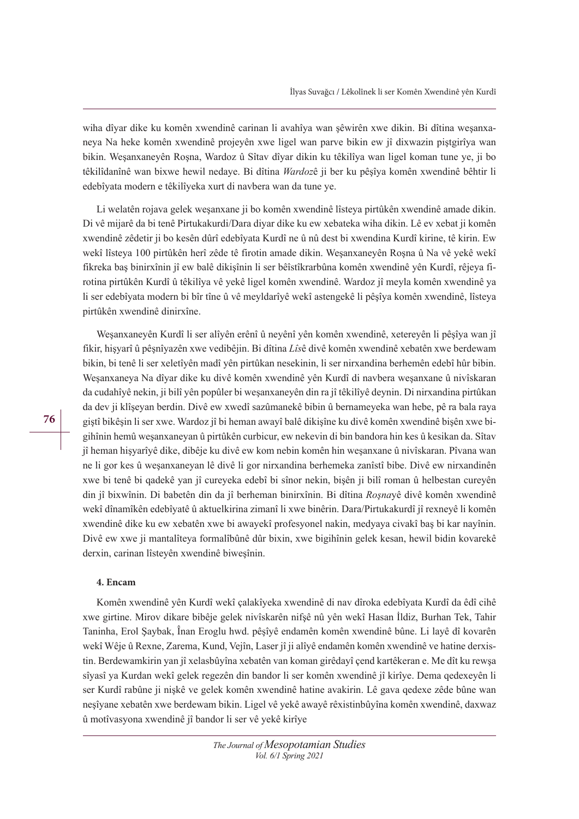wiha dîyar dike ku komên xwendinê carinan li avahîya wan şêwirên xwe dikin. Bi dîtina weşanxaneya Na heke komên xwendinê projeyên xwe ligel wan parve bikin ew jî dixwazin piştgirîya wan bikin. Weşanxaneyên Roşna, Wardoz û Sîtav dîyar dikin ku têkilîya wan ligel koman tune ye, ji bo têkilîdanînê wan bixwe hewil nedaye. Bi dîtina *Wardoz*ê ji ber ku pêşîya komên xwendinê bêhtir li edebîyata modern e têkilîyeka xurt di navbera wan da tune ye.

Li welatên rojava gelek weşanxane ji bo komên xwendinê lîsteya pirtûkên xwendinê amade dikin. Di vê mijarê da bi tenê Pirtukakurdi/Dara diyar dike ku ew xebateka wiha dikin. Lê ev xebat ji komên xwendinê zêdetir ji bo kesên dûrî edebîyata Kurdî ne û nû dest bi xwendina Kurdî kirine, tê kirin. Ew wekî lîsteya 100 pirtûkên herî zêde tê firotin amade dikin. Weşanxaneyên Roşna û Na vê yekê wekî fikreka baş binirxînin jî ew balê dikişînin li ser bêîstîkrarbûna komên xwendinê yên Kurdî, rêjeya firotina pirtûkên Kurdî û têkilîya vê yekê ligel komên xwendinê. Wardoz jî meyla komên xwendinê ya li ser edebîyata modern bi bîr tîne û vê meyldarîyê wekî astengekê li pêşîya komên xwendinê, lîsteya pirtûkên xwendinê dinirxîne.

Weşanxaneyên Kurdî li ser alîyên erênî û neyênî yên komên xwendinê, xetereyên li pêşîya wan jî fikir, hişyarî û pêşnîyazên xwe vedibêjin. Bi dîtina *Lîs*ê divê komên xwendinê xebatên xwe berdewam bikin, bi tenê li ser xeletîyên madî yên pirtûkan nesekinin, li ser nirxandina berhemên edebî hûr bibin. Weşanxaneya Na dîyar dike ku divê komên xwendinê yên Kurdî di navbera weşanxane û nivîskaran da cudahîyê nekin, ji bilî yên popûler bi weşanxaneyên din ra jî têkilîyê deynin. Di nirxandina pirtûkan da dev ji klîşeyan berdin. Divê ew xwedî sazûmanekê bibin û bernameyeka wan hebe, pê ra bala raya giştî bikêşin li ser xwe. Wardoz jî bi heman awayî balê dikişîne ku divê komên xwendinê bişên xwe bigihînin hemû weşanxaneyan û pirtûkên curbicur, ew nekevin di bin bandora hin kes û kesikan da. Sîtav jî heman hişyarîyê dike, dibêje ku divê ew kom nebin komên hin weşanxane û nivîskaran. Pîvana wan ne li gor kes û weşanxaneyan lê divê li gor nirxandina berhemeka zanîstî bibe. Divê ew nirxandinên xwe bi tenê bi qadekê yan jî cureyeka edebî bi sînor nekin, bişên ji bilî roman û helbestan cureyên din jî bixwînin. Di babetên din da jî berheman binirxînin. Bi dîtina *Roşnay*ê divê komên xwendinê wekî dînamîkên edebîyatê û aktuelkirina zimanî li xwe binêrin. Dara/Pirtukakurdî jî rexneyê li komên xwendinê dike ku ew xebatên xwe bi awayekî profesyonel nakin, medyaya civakî baş bi kar nayînin. Divê ew xwe ji mantalîteya formalîbûnê dûr bixin, xwe bigihînin gelek kesan, hewil bidin kovarekê derxin, carinan lîsteyên xwendinê biweşînin.

## **4. Encam**

Komên xwendinê yên Kurdî wekî çalakîyeka xwendinê di nav dîroka edebîyata Kurdî da êdî cihê xwe girtine. Mirov dikare bibêje gelek nivîskarên nifşê nû yên wekî Hasan İldiz, Burhan Tek, Tahir Taninha, Erol Şaybak, Înan Eroglu hwd. pêşîyê endamên komên xwendinê bûne. Li layê dî kovarên wekî Wêje û Rexne, Zarema, Kund, Vejîn, Laser jî ji alîyê endamên komên xwendinê ve hatine derxistin. Berdewamkirin yan jî xelasbûyîna xebatên van koman girêdayî çend kartêkeran e. Me dît ku rewşa sîyasî ya Kurdan wekî gelek regezên din bandor li ser komên xwendinê jî kirîye. Dema qedexeyên li ser Kurdî rabûne ji nişkê ve gelek komên xwendinê hatine avakirin. Lê gava qedexe zêde bûne wan neşîyane xebatên xwe berdewam bikin. Ligel vê yekê awayê rêxistinbûyîna komên xwendinê, daxwaz û motîvasyona xwendinê jî bandor li ser vê yekê kirîye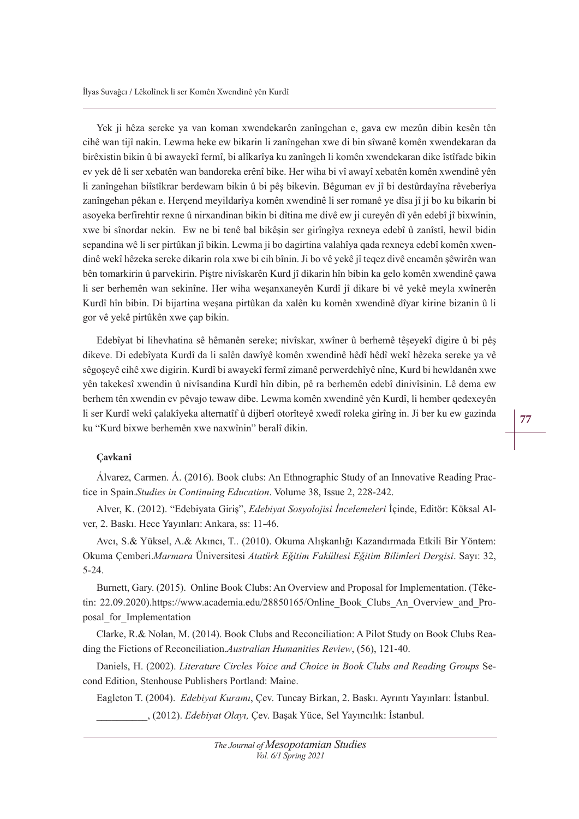Yek ji hêza sereke ya van koman xwendekarên zanîngehan e, gava ew mezûn dibin kesên tên cihê wan tijî nakin. Lewma heke ew bikarin li zanîngehan xwe di bin sîwanê komên xwendekaran da birêxistin bikin û bi awayekî fermî, bi alîkarîya ku zanîngeh li komên xwendekaran dike îstîfade bikin ev yek dê li ser xebatên wan bandoreka erênî bike. Her wiha bi vî awayî xebatên komên xwendinê yên li zanîngehan biîstîkrar berdewam bikin û bi pêş bikevin. Bêguman ev jî bi destûrdayîna rêveberîya zanîngehan pêkan e. Herçend meyildarîya komên xwendinê li ser romanê ye dîsa jî ji bo ku bikarin bi asoyeka berfirehtir rexne û nirxandinan bikin bi dîtina me divê ew ji cureyên dî yên edebî jî bixwînin, xwe bi sînordar nekin. Ew ne bi tenê bal bikêşin ser girîngîya rexneya edebî û zanîstî, hewil bidin sepandina wê li ser pirtûkan jî bikin. Lewma ji bo dagirtina valahîya qada rexneya edebî komên xwendinê wekî hêzeka sereke dikarin rola xwe bi cih bînin. Ji bo vê yekê jî teqez divê encamên şêwirên wan bên tomarkirin û parvekirin. Piştre nivîskarên Kurd jî dikarin hîn bibin ka gelo komên xwendinê çawa li ser berhemên wan sekinîne. Her wiha weşanxaneyên Kurdî jî dikare bi vê yekê meyla xwînerên Kurdî hîn bibin. Di bijartina weşana pirtûkan da xalên ku komên xwendinê dîyar kirine bizanin û li gor vê yekê pirtûkên xwe çap bikin.

Edebîyat bi lihevhatina sê hêmanên sereke; nivîskar, xwîner û berhemê têşeyekî digire û bi pêş dikeve. Di edebîyata Kurdî da li salên dawîyê komên xwendinê hêdî hêdî wekî hêzeka sereke ya vê sêgoşeyê cihê xwe digirin. Kurdî bi awayekî fermî zimanê perwerdehîyê nîne, Kurd bi hewldanên xwe yên takekesî xwendin û nivîsandina Kurdî hîn dibin, pê ra berhemên edebî dinivîsinin. Lê dema ew berhem tên xwendin ev pêvajo tewaw dibe. Lewma komên xwendinê yên Kurdî, li hember qedexeyên li ser Kurdî wekî çalakîyeka alternatîf û dijberî otorîteyê xwedî roleka girîng in. Ji ber ku ew gazinda ku "Kurd bixwe berhemên xwe naxwînin" beralî dikin.

#### **Çavkanî**

Álvarez, Carmen. Á. (2016). Book clubs: An Ethnographic Study of an Innovative Reading Practice in Spain.*Studies in Continuing Education*. Volume 38, Issue 2, 228-242.

Alver, K. (2012). "Edebiyata Giriş", *Edebiyat Sosyolojisi İncelemeleri* İçinde, Editör: Köksal Alver, 2. Baskı. Hece Yayınları: Ankara, ss: 11-46.

Avcı, S.& Yüksel, A.& Akıncı, T.. (2010). Okuma Alışkanlığı Kazandırmada Etkili Bir Yöntem: Okuma Çemberi.*Marmara* Üniversitesi Atatürk Eğitim Fakültesi Eğitim Bilimleri Dergisi. Sayı: 32, 5-24.

Burnett, Gary. (2015). Online Book Clubs: An Overview and Proposal for Implementation. (Têketin: 22.09.2020).https://www.academia.edu/28850165/Online\_Book\_Clubs\_An\_Overview\_and\_Proposal\_for\_Implementation

Clarke, R.& Nolan, M. (2014). Book Clubs and Reconciliation: A Pilot Study on Book Clubs Reading the Fictions of Reconciliation.*Australian Humanities Review*, (56), 121-40.

Daniels, H. (2002). *Literature Circles Voice and Choice in Book Clubs and Reading Groups* Second Edition, Stenhouse Publishers Portland: Maine.

Eagleton T. (2004). *Edebiyat Kuramı*, Çev. Tuncay Birkan, 2. Baskı. Ayrıntı Yayınları: İstanbul. \_\_\_\_\_\_\_\_\_\_, (2012). *(deEL\at 2la\Õ* Çev. Başak Yüce, Sel Yayıncılık: İstanbul.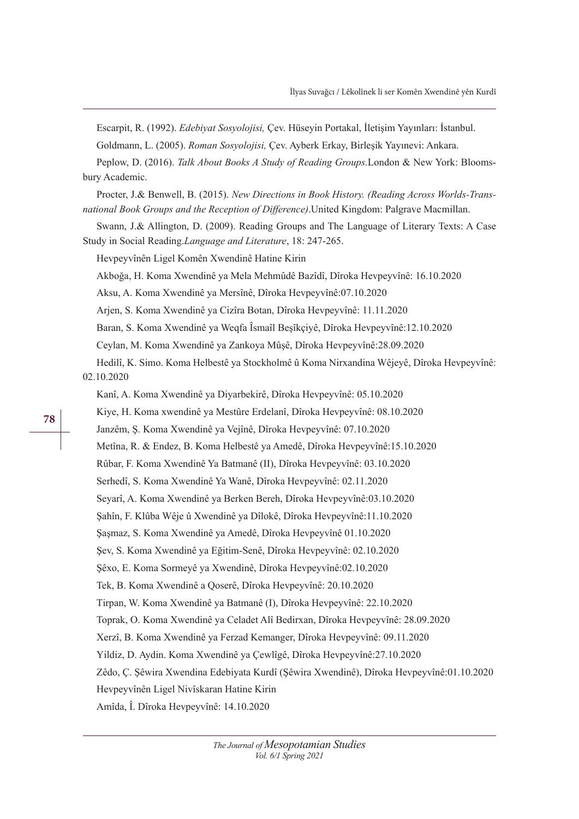Escarpit, R. (1992). *Edebiyat Sosyolojisi*, Çev. Hüseyin Portakal, İletişim Yayınları: İstanbul. Goldmann, L. (2005). *Roman Sosyolojisi*, Çev. Ayberk Erkay, Birleşik Yayınevi: Ankara. Peplow, D. (2016). *Talk About Books A Study of Reading Groups*. London & New York: Bloomsbury Academic. Procter, J.& Benwell, B. (2015). *New Directions in Book History. (Reading Across Worlds-Trans*national Book Groups and the Reception of Difference). United Kingdom: Palgrave Macmillan. Swann, J.& Allington, D. (2009). Reading Groups and The Language of Literary Texts: A Case Study in Social Reading.*Language and Literature*, 18: 247-265. Hevpeyvînên Ligel Komên Xwendinê Hatine Kirin Akboğa, H. Koma Xwendinê ya Mela Mehmûdê Bazîdî, Dîroka Hevpeyvînê: 16.10.2020 Aksu, A. Koma Xwendinê ya Mersînê, Dîroka Hevpeyvînê:07.10.2020 Arjen, S. Koma Xwendinê ya Cizîra Botan, Dîroka Hevpeyvînê: 11.11.2020 Baran, S. Koma Xwendinê ya Weqfa Îsmaîl Beşîkçiyê, Dîroka Hevpeyvînê:12.10.2020 Ceylan, M. Koma Xwendinê ya Zankoya Mûşê, Dîroka Hevpeyvînê:28.09.2020 Hedilî, K. Simo. Koma Helbestê ya Stockholmê û Koma Nirxandina Wêjeyê, Dîroka Hevpeyvînê: 02.10.2020 Kanî, A. Koma Xwendinê ya Diyarbekirê, Dîroka Hevpeyvînê: 05.10.2020 Kiye, H. Koma xwendinê ya Mestûre Erdelanî, Dîroka Hevpeyvînê: 08.10.2020 Janzêm, Ş. Koma Xwendinê ya Vejînê, Dîroka Hevpeyvînê: 07.10.2020 Metîna, R. & Endez, B. Koma Helbestê ya Amedê, Dîroka Hevpeyvînê:15.10.2020 Rûbar, F. Koma Xwendinê Ya Batmanê (II), Dîroka Hevpeyvînê: 03.10.2020 Serhedî, S. Koma Xwendinê Ya Wanê, Dîroka Hevpeyvînê: 02.11.2020 Seyarî, A. Koma Xwendinê ya Berken Bereh, Dîroka Hevpeyvînê:03.10.2020 Şahîn, F. Klûba Wêje û Xwendinê ya Dîlokê, Dîroka Hevpeyvînê:11.10.2020 Şaşmaz, S. Koma Xwendinê ya Amedê, Dîroka Hevpeyvînê 01.10.2020 Şev, S. Koma Xwendinê ya Eğitim-Senê, Dîroka Hevpeyvînê: 02.10.2020 Şêxo, E. Koma Sormeyê ya Xwendinê, Dîroka Hevpeyvînê:02.10.2020 Tek, B. Koma Xwendinê a Qoserê, Dîroka Hevpeyvînê: 20.10.2020 Tirpan, W. Koma Xwendinê ya Batmanê (I), Dîroka Hevpeyvînê: 22.10.2020 Toprak, O. Koma Xwendinê ya Celadet Alî Bedirxan, Dîroka Hevpeyvînê: 28.09.2020 Xerzî, B. Koma Xwendinê ya Ferzad Kemanger, Dîroka Hevpeyvînê: 09.11.2020 Yildiz, D. Aydin. Koma Xwendinê ya Çewlîgê, Dîroka Hevpeyvînê:27.10.2020 Zêdo, Ç. Şêwira Xwendina Edebiyata Kurdî (Şêwira Xwendinê), Dîroka Hevpeyvînê:01.10.2020 Hevpeyvînên Ligel Nivîskaran Hatine Kirin Amîda, Î. Dîroka Hevpeyvînê: 14.10.2020

#### **78**